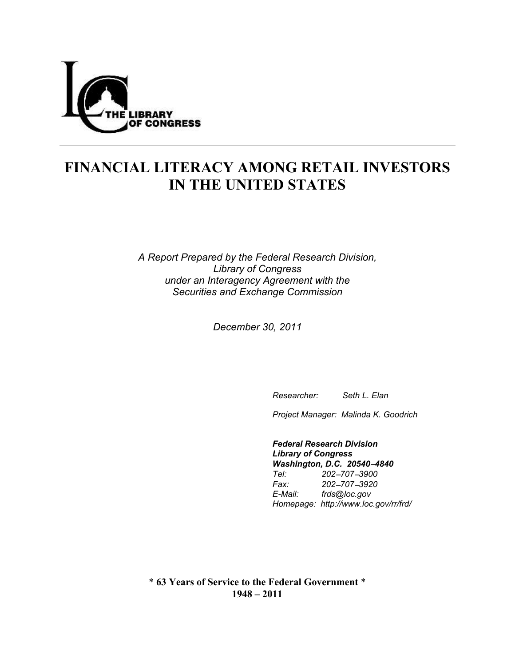

# **FINANCIAL LITERACY AMONG RETAIL INVESTORS IN THE UNITED STATES**

*A Report Prepared by the Federal Research Division, Library of Congress under an Interagency Agreement with the Securities and Exchange Commission* 

*December 30, 2011* 

 *Researcher: Seth L. Elan* 

 *Project Manager: Malinda K. Goodrich* 

 *Federal Research Division Library of Congress Washington, D.C. 20540-4840 Tel: 202*!*707*!*3900 Fax: 202*!*707*!*3920 E-Mail: frds@loc.gov Homepage: http://www.loc.gov/rr/frd/* 

\* **63 Years of Service to the Federal Government** \* **1948 – 2011**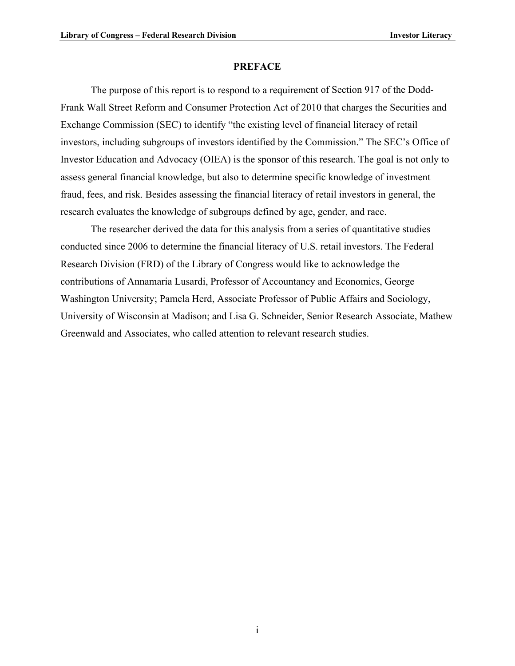#### **PREFACE**

<span id="page-1-0"></span>The purpose of this report is to respond to a requirement of Section 917 of the Dodd-Frank Wall Street Reform and Consumer Protection Act of 2010 that charges the Securities and Exchange Commission (SEC) to identify "the existing level of financial literacy of retail investors, including subgroups of investors identified by the Commission." The SEC's Office of Investor Education and Advocacy (OIEA) is the sponsor of this research. The goal is not only to assess general financial knowledge, but also to determine specific knowledge of investment fraud, fees, and risk. Besides assessing the financial literacy of retail investors in general, the research evaluates the knowledge of subgroups defined by age, gender, and race.

The researcher derived the data for this analysis from a series of quantitative studies conducted since 2006 to determine the financial literacy of U.S. retail investors. The Federal Research Division (FRD) of the Library of Congress would like to acknowledge the contributions of Annamaria Lusardi, Professor of Accountancy and Economics, George Washington University; Pamela Herd, Associate Professor of Public Affairs and Sociology, University of Wisconsin at Madison; and Lisa G. Schneider, Senior Research Associate, Mathew Greenwald and Associates, who called attention to relevant research studies.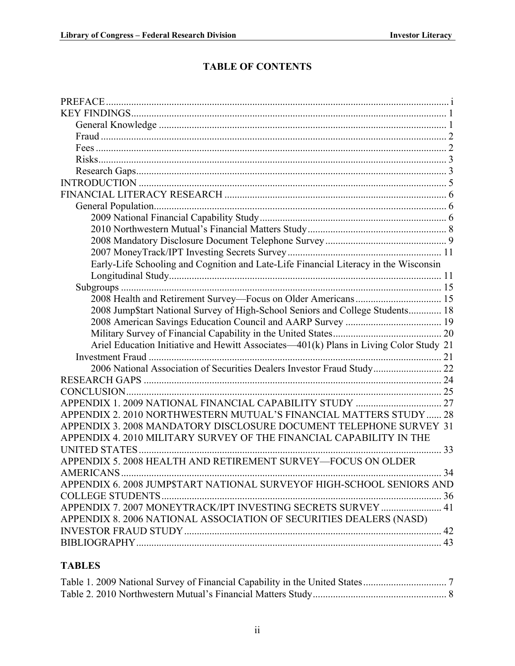# **TABLE OF CONTENTS**

| Early-Life Schooling and Cognition and Late-Life Financial Literacy in the Wisconsin   |    |
|----------------------------------------------------------------------------------------|----|
|                                                                                        |    |
|                                                                                        |    |
|                                                                                        |    |
| 2008 Jump\$tart National Survey of High-School Seniors and College Students 18         |    |
|                                                                                        |    |
|                                                                                        |    |
| Ariel Education Initiative and Hewitt Associates—401(k) Plans in Living Color Study 21 |    |
|                                                                                        |    |
| 2006 National Association of Securities Dealers Investor Fraud Study 22                |    |
|                                                                                        |    |
|                                                                                        |    |
|                                                                                        |    |
| APPENDIX 2. 2010 NORTHWESTERN MUTUAL'S FINANCIAL MATTERS STUDY  28                     |    |
| APPENDIX 3. 2008 MANDATORY DISCLOSURE DOCUMENT TELEPHONE SURVEY 31                     |    |
| APPENDIX 4, 2010 MILITARY SURVEY OF THE FINANCIAL CAPABILITY IN THE                    |    |
|                                                                                        | 33 |
| APPENDIX 5. 2008 HEALTH AND RETIREMENT SURVEY-FOCUS ON OLDER                           |    |
| AMERICANS                                                                              | 34 |
| APPENDIX 6. 2008 JUMP\$TART NATIONAL SURVEYOF HIGH-SCHOOL SENIORS AND                  |    |
|                                                                                        |    |
| APPENDIX 7. 2007 MONEYTRACK/IPT INVESTING SECRETS SURVEY  41                           |    |
| APPENDIX 8. 2006 NATIONAL ASSOCIATION OF SECURITIES DEALERS (NASD)                     |    |
|                                                                                        |    |
|                                                                                        |    |

## **TABLES**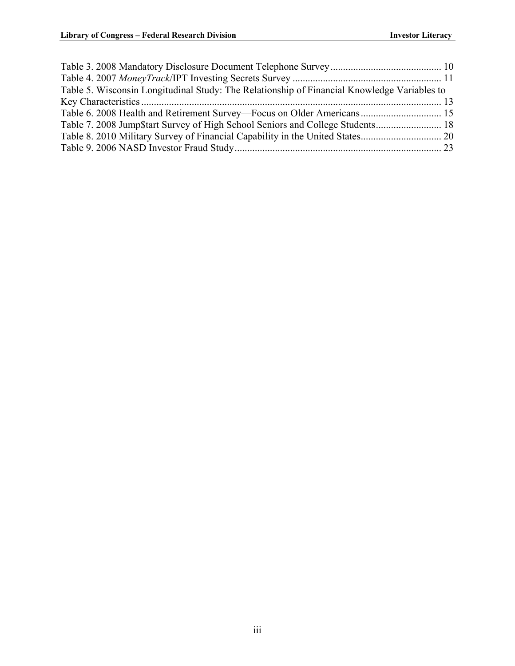| Table 5. Wisconsin Longitudinal Study: The Relationship of Financial Knowledge Variables to |  |
|---------------------------------------------------------------------------------------------|--|
|                                                                                             |  |
| Table 6. 2008 Health and Retirement Survey—Focus on Older Americans 15                      |  |
|                                                                                             |  |
|                                                                                             |  |
|                                                                                             |  |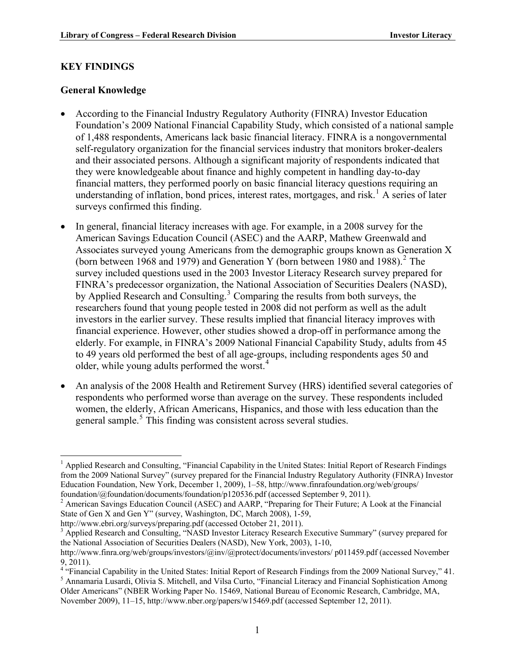#### <span id="page-4-0"></span>**KEY FINDINGS**

#### <span id="page-4-1"></span>**General Knowledge**

- According to the Financial Industry Regulatory Authority (FINRA) Investor Education Foundation's 2009 National Financial Capability Study, which consisted of a national sample of 1,488 respondents, Americans lack basic financial literacy. FINRA is a nongovernmental self-regulatory organization for the financial services industry that monitors broker-dealers and their associated persons. Although a significant majority of respondents indicated that they were knowledgeable about finance and highly competent in handling day-to-day financial matters, they performed poorly on basic financial literacy questions requiring an understanding of inflation, bond prices, interest rates, mortgages, and risk.<sup>[1](#page-4-3)</sup> A series of later surveys confirmed this finding.
- FINRA's predecessor organization, the National Association of Securities Dealers (NASD), investors in the earlier survey. These results implied that financial literacy improves with older, while young adults performed the worst. $4$ • In general, financial literacy increases with age. For example, in a 2008 survey for the American Savings Education Council (ASEC) and the AARP, Mathew Greenwald and Associates surveyed young Americans from the demographic groups known as Generation X (born between 1968 and 1979) and Generation Y (born between 1980 and 1988).<sup>[2](#page-4-4)</sup> The survey included questions used in the 2003 Investor Literacy Research survey prepared for by Applied Research and Consulting.<sup>[3](#page-4-5)</sup> Comparing the results from both surveys, the researchers found that young people tested in 2008 did not perform as well as the adult financial experience. However, other studies showed a drop-off in performance among the elderly. For example, in FINRA's 2009 National Financial Capability Study, adults from 45 to 49 years old performed the best of all age-groups, including respondents ages 50 and
- An analysis of the 2008 Health and Retirement Survey (HRS) identified several categories of respondents who performed worse than average on the survey. These respondents included women, the elderly, African Americans, Hispanics, and those with less education than the general sample.<sup>[5](#page-4-2)</sup> This finding was consistent across several studies.

http://www.ebri.org/surveys/preparing.pdf (accessed October 21, 2011).

<span id="page-4-3"></span><sup>1</sup> <sup>1</sup> Applied Research and Consulting, "Financial Capability in the United States: Initial Report of Research Findings from the 2009 National Survey" (survey prepared for the Financial Industry Regulatory Authority (FINRA) Investor Education Foundation, New York, December 1, 2009), 1–58, http://www.finrafoundation.org/web/groups/ foundation/@foundation/documents/foundation/p120536.pdf (accessed September 9, 2011).

<span id="page-4-4"></span><sup>&</sup>lt;sup>2</sup> American Savings Education Council (ASEC) and AARP, "Preparing for Their Future; A Look at the Financial State of Gen X and Gen Y" (survey, Washington, DC, March 2008), 1-59,

<span id="page-4-5"></span><sup>&</sup>lt;sup>3</sup> Applied Research and Consulting, "NASD Investor Literacy Research Executive Summary" (survey prepared for the National Association of Securities Dealers (NASD), New York, 2003), 1-10,

http://www.finra.org/web/groups/investors/@inv/@protect/documents/investors/ p011459.pdf (accessed November 9, 2011).

<sup>&</sup>lt;sup>4</sup> "Financial Capability in the United States: Initial Report of Research Findings from the 2009 National Survey," 41. <sup>5</sup> Annamaria Lusardi, Olivia S. Mitchell, and Vilsa Curto, "Financial Literacy and Financial Sophistication Among

<span id="page-4-2"></span>Older Americans" (NBER Working Paper No. 15469, National Bureau of Economic Research, Cambridge, MA, November 2009), 11–15, http://www.nber.org/papers/w15469.pdf (accessed September 12, 2011).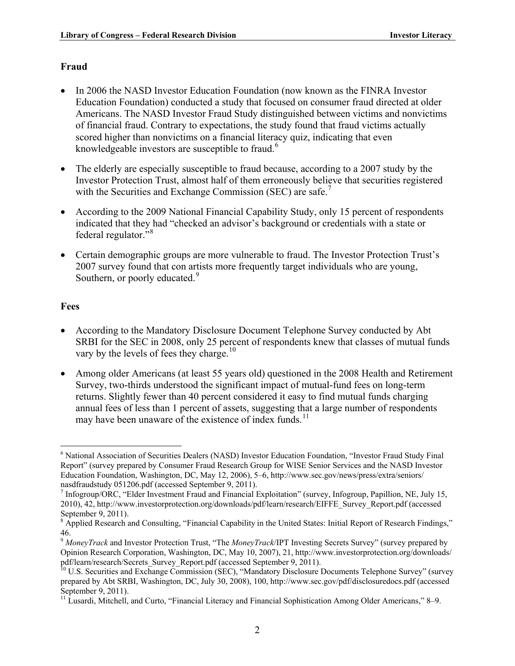#### <span id="page-5-0"></span>**Fraud**

- In 2006 the NASD Investor Education Foundation (now known as the FINRA Investor Education Foundation) conducted a study that focused on consumer fraud directed at older Americans. The NASD Investor Fraud Study distinguished between victims and nonvictims of financial fraud. Contrary to expectations, the study found that fraud victims actually scored higher than nonvictims on a financial literacy quiz, indicating that even knowledgeable investors are susceptible to fraud. $<sup>6</sup>$  $<sup>6</sup>$  $<sup>6</sup>$ </sup>
- The elderly are especially susceptible to fraud because, according to a 2007 study by the Investor Protection Trust, almost half of them erroneously believe that securities registered with the Securities and Exchange Commission (SEC) are safe.<sup>[7](#page-5-4)</sup>
- According to the 2009 National Financial Capability Study, only 15 percent of respondents indicated that they had "checked an advisor's background or credentials with a state or federal regulator."[8](#page-5-5)
- Certain demographic groups are more vulnerable to fraud. The Investor Protection Trust's 2007 survey found that con artists more frequently target individuals who are young, Southern, or poorly educated.<sup>[9](#page-5-6)</sup>

#### <span id="page-5-1"></span>**Fees**

1

- According to the Mandatory Disclosure Document Telephone Survey conducted by Abt SRBI for the SEC in 2008, only 25 percent of respondents knew that classes of mutual funds vary by the levels of fees they charge.<sup>[10](#page-5-7)</sup>
- Among older Americans (at least 55 years old) questioned in the 2008 Health and Retirement Survey, two-thirds understood the significant impact of mutual-fund fees on long-term returns. Slightly fewer than 40 percent considered it easy to find mutual funds charging annual fees of less than 1 percent of assets, suggesting that a large number of respondents may have been unaware of the existence of index funds.<sup>[11](#page-5-2)</sup>

<span id="page-5-3"></span><sup>&</sup>lt;sup>6</sup> National Association of Securities Dealers (NASD) Investor Education Foundation, "Investor Fraud Study Final Report" (survey prepared by Consumer Fraud Research Group for WISE Senior Services and the NASD Investor Education Foundation, Washington, DC, May 12, 2006), 5–6, http://www.sec.gov/news/press/extra/seniors/ nasdfraudstudy 051206.pdf (accessed September 9, 2011).

<span id="page-5-4"></span><sup>&</sup>lt;sup>7</sup> Infogroup/ORC, "Elder Investment Fraud and Financial Exploitation" (survey, Infogroup, Papillion, NE, July 15, 2010), 42, http://www.investorprotection.org/downloads/pdf/learn/research/EIFFE\_Survey\_Report.pdf (accessed September 9, 2011).

<span id="page-5-5"></span><sup>&</sup>lt;sup>8</sup> Applied Research and Consulting, "Financial Capability in the United States: Initial Report of Research Findings," 46.

<span id="page-5-6"></span><sup>9</sup> *MoneyTrack* and Investor Protection Trust, "The *MoneyTrack*/IPT Investing Secrets Survey" (survey prepared by Opinion Research Corporation, Washington, DC, May 10, 2007), 21, http://www.investorprotection.org/downloads/ pdf/learn/research/Secrets\_Survey\_Report.pdf (accessed September 9, 2011).<br><sup>10</sup> U.S. Securities and Exchange Commission (SEC), "Mandatory Disclosure Documents Telephone Survey" (survey

<span id="page-5-7"></span>prepared by Abt SRBI, Washington, DC, July 30, 2008), 100, http://www.sec.gov/pdf/disclosuredocs.pdf (accessed September 9, 2011).

<span id="page-5-2"></span><sup>&</sup>lt;sup>11</sup> Lusardi, Mitchell, and Curto, "Financial Literacy and Financial Sophistication Among Older Americans," 8–9.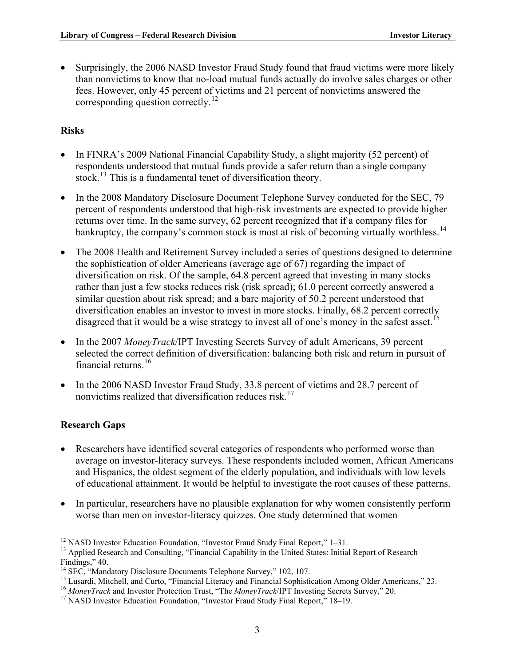• Surprisingly, the 2006 NASD Investor Fraud Study found that fraud victims were more likely than nonvictims to know that no-load mutual funds actually do involve sales charges or other fees. However, only 45 percent of victims and 21 percent of nonvictims answered the corresponding question correctly.<sup>[12](#page-6-3)</sup>

#### <span id="page-6-0"></span>**Risks**

- In FINRA's 2009 National Financial Capability Study, a slight majority (52 percent) of respondents understood that mutual funds provide a safer return than a single company stock.<sup>[13](#page-6-4)</sup> This is a fundamental tenet of diversification theory.
- In the 2008 Mandatory Disclosure Document Telephone Survey conducted for the SEC, 79 percent of respondents understood that high-risk investments are expected to provide higher returns over time. In the same survey, 62 percent recognized that if a company files for bankruptcy, the company's common stock is most at risk of becoming virtually worthless.<sup>[14](#page-6-5)</sup>
- The 2008 Health and Retirement Survey included a series of questions designed to determine the sophistication of older Americans (average age of 67) regarding the impact of diversification on risk. Of the sample, 64.8 percent agreed that investing in many stocks rather than just a few stocks reduces risk (risk spread); 61.0 percent correctly answered a similar question about risk spread; and a bare majority of 50.2 percent understood that diversification enables an investor to invest in more stocks. Finally, 68.2 percent correctly disagreed that it would be a wise strategy to invest all of one's money in the safest asset.<sup>[15](#page-6-6)</sup>
- In the 2007 *MoneyTrack*/IPT Investing Secrets Survey of adult Americans, 39 percent selected the correct definition of diversification: balancing both risk and return in pursuit of financial returns. $16$
- In the 2006 NASD Investor Fraud Study, 33.8 percent of victims and 28.7 percent of nonvictims realized that diversification reduces risk.<sup>[17](#page-6-2)</sup>

#### <span id="page-6-1"></span>**Research Gaps**

- Researchers have identified several categories of respondents who performed worse than average on investor-literacy surveys. These respondents included women, African Americans and Hispanics, the oldest segment of the elderly population, and individuals with low levels of educational attainment. It would be helpful to investigate the root causes of these patterns.
- In particular, researchers have no plausible explanation for why women consistently perform worse than men on investor-literacy quizzes. One study determined that women

<sup>&</sup>lt;u>.</u>  $12$  NASD Investor Education Foundation, "Investor Fraud Study Final Report,"  $1-31$ .

<span id="page-6-4"></span><span id="page-6-3"></span><sup>&</sup>lt;sup>13</sup> Applied Research and Consulting, "Financial Capability in the United States: Initial Report of Research Findings," 40.

<span id="page-6-5"></span><sup>&</sup>lt;sup>14</sup> SEC, "Mandatory Disclosure Documents Telephone Survey," 102, 107.

<sup>&</sup>lt;sup>15</sup> Lusardi, Mitchell, and Curto, "Financial Literacy and Financial Sophistication Among Older Americans," 23.

<span id="page-6-7"></span><span id="page-6-6"></span><sup>&</sup>lt;sup>16</sup> *MoneyTrack* and Investor Protection Trust, "The *MoneyTrack*/IPT Investing Secrets Survey," 20.<br><sup>17</sup> NASD Investor Education Foundation, "Investor Fraud Study Final Report," 18–19.

<span id="page-6-2"></span>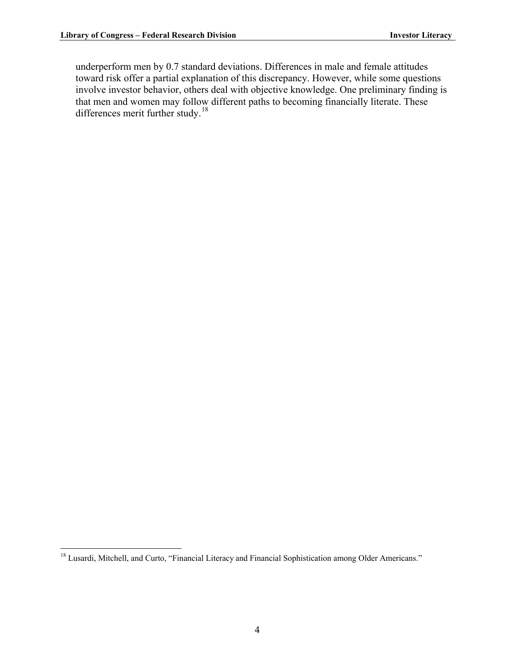underperform men by 0.7 standard deviations. Differences in male and female attitudes toward risk offer a partial explanation of this discrepancy. However, while some questions involve investor behavior, others deal with objective knowledge. One preliminary finding is that men and women may follow different paths to becoming financially literate. These differences merit further study.<sup>18</sup>

<sup>1</sup> <sup>18</sup> Lusardi, Mitchell, and Curto, "Financial Literacy and Financial Sophistication among Older Americans."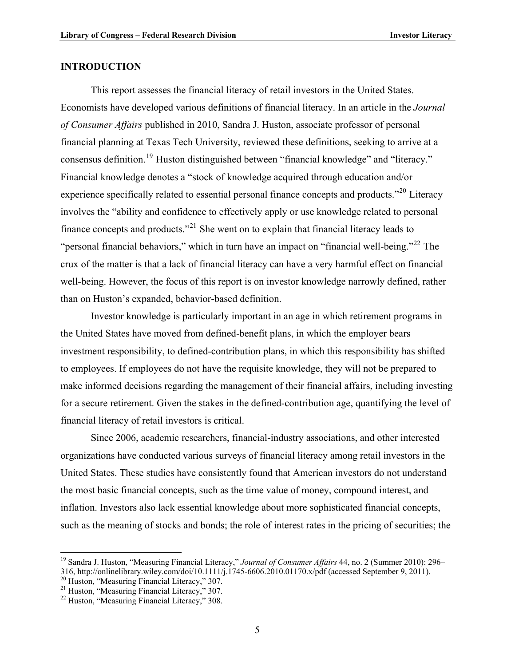#### <span id="page-8-0"></span>**INTRODUCTION**

This report assesses the financial literacy of retail investors in the United States. Economists have developed various definitions of financial literacy. In an article in the *Journal of Consumer Affairs* published in 2010, Sandra J. Huston, associate professor of personal financial planning at Texas Tech University, reviewed these definitions, seeking to arrive at a consensus definition.[19](#page-8-2) Huston distinguished between "financial knowledge" and "literacy." Financial knowledge denotes a "stock of knowledge acquired through education and/or experience specifically related to essential personal finance concepts and products."<sup>[20](#page-8-3)</sup> Literacy involves the "ability and confidence to effectively apply or use knowledge related to personal finance concepts and products."[21](#page-8-4) She went on to explain that financial literacy leads to "personal financial behaviors," which in turn have an impact on "financial well-being."<sup>[22](#page-8-1)</sup> The crux of the matter is that a lack of financial literacy can have a very harmful effect on financial well-being. However, the focus of this report is on investor knowledge narrowly defined, rather than on Huston's expanded, behavior-based definition.

Investor knowledge is particularly important in an age in which retirement programs in the United States have moved from defined-benefit plans, in which the employer bears investment responsibility, to defined-contribution plans, in which this responsibility has shifted to employees. If employees do not have the requisite knowledge, they will not be prepared to make informed decisions regarding the management of their financial affairs, including investing for a secure retirement. Given the stakes in the defined-contribution age, quantifying the level of financial literacy of retail investors is critical.

Since 2006, academic researchers, financial-industry associations, and other interested organizations have conducted various surveys of financial literacy among retail investors in the United States. These studies have consistently found that American investors do not understand the most basic financial concepts, such as the time value of money, compound interest, and inflation. Investors also lack essential knowledge about more sophisticated financial concepts, such as the meaning of stocks and bonds; the role of interest rates in the pricing of securities; the

1

<span id="page-8-2"></span><sup>19</sup> Sandra J. Huston, "Measuring Financial Literacy," *Journal of Consumer Affairs* 44, no. 2 (Summer 2010): 296– 316, http://onlinelibrary.wiley.com/doi/10.1111/j.1745-6606.2010.01170.x/pdf (accessed September 9, 2011). 20 Huston, "Measuring Financial Literacy," 307.

<span id="page-8-4"></span><span id="page-8-3"></span><sup>&</sup>lt;sup>21</sup> Huston, "Measuring Financial Literacy," 307.

<span id="page-8-1"></span><sup>22</sup> Huston, "Measuring Financial Literacy," 308.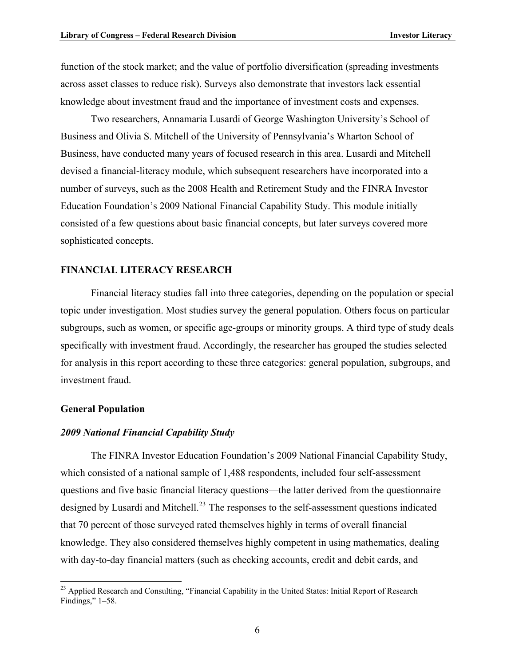function of the stock market; and the value of portfolio diversification (spreading investments across asset classes to reduce risk). Surveys also demonstrate that investors lack essential knowledge about investment fraud and the importance of investment costs and expenses.

Two researchers, Annamaria Lusardi of George Washington University's School of Business and Olivia S. Mitchell of the University of Pennsylvania's Wharton School of Business, have conducted many years of focused research in this area. Lusardi and Mitchell devised a financial-literacy module, which subsequent researchers have incorporated into a number of surveys, such as the 2008 Health and Retirement Study and the FINRA Investor Education Foundation's 2009 National Financial Capability Study. This module initially consisted of a few questions about basic financial concepts, but later surveys covered more sophisticated concepts.

#### <span id="page-9-0"></span>**FINANCIAL LITERACY RESEARCH**

Financial literacy studies fall into three categories, depending on the population or special topic under investigation. Most studies survey the general population. Others focus on particular subgroups, such as women, or specific age-groups or minority groups. A third type of study deals specifically with investment fraud. Accordingly, the researcher has grouped the studies selected for analysis in this report according to these three categories: general population, subgroups, and investment fraud.

#### <span id="page-9-1"></span>**General Population**

1

#### <span id="page-9-2"></span>*2009 National Financial Capability Study*

The FINRA Investor Education Foundation's 2009 National Financial Capability Study, which consisted of a national sample of 1,488 respondents, included four self-assessment questions and five basic financial literacy questions—the latter derived from the questionnaire designed by Lusardi and Mitchell.<sup>[23](#page-9-3)</sup> The responses to the self-assessment questions indicated that 70 percent of those surveyed rated themselves highly in terms of overall financial knowledge. They also considered themselves highly competent in using mathematics, dealing with day-to-day financial matters (such as checking accounts, credit and debit cards, and

<span id="page-9-3"></span><sup>&</sup>lt;sup>23</sup> Applied Research and Consulting, "Financial Capability in the United States: Initial Report of Research Findings," 1–58.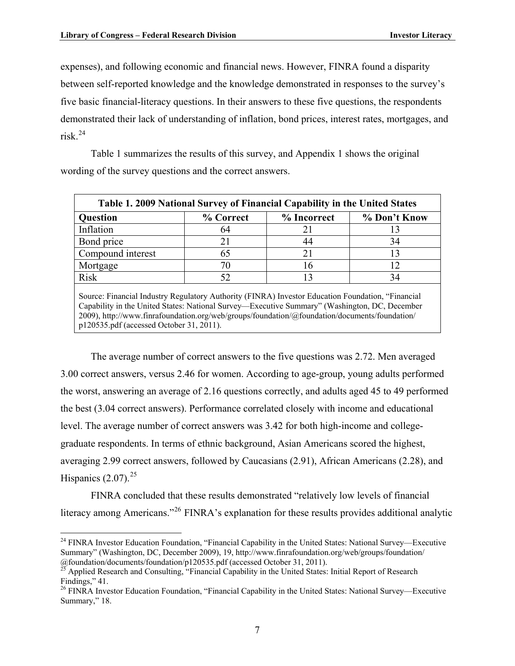between self-reported knowledge and the knowledge demonstrated in responses to the survey's five basic financial-literacy questions. In their answers to these five questions, the respondents expenses), and following economic and financial news. However, FINRA found a disparity demonstrated their lack of understanding of inflation, bond prices, interest rates, mortgages, and risk  $^{24}$  $^{24}$  $^{24}$ 

Table 1 summarizes the results of this survey, and Appendix 1 shows the original wording of the survey questions and the correct answers.

<span id="page-10-0"></span>

| Table 1. 2009 National Survey of Financial Capability in the United States                                         |           |             |              |  |  |  |
|--------------------------------------------------------------------------------------------------------------------|-----------|-------------|--------------|--|--|--|
| <b>Question</b>                                                                                                    | % Correct | % Incorrect | % Don't Know |  |  |  |
| Inflation                                                                                                          | 64        |             |              |  |  |  |
| Bond price                                                                                                         | 21        | 44          | 34           |  |  |  |
| Compound interest                                                                                                  | 65        | 21          | 13           |  |  |  |
| Mortgage                                                                                                           | 70        | 16          | 12           |  |  |  |
| <b>Risk</b>                                                                                                        | 52        |             | 34           |  |  |  |
| Source: Financial Industry Regulatory $\Delta$ uthority (FINR $\Delta$ ) Investor Education Foundation "Financial" |           |             |              |  |  |  |

ial Industry Regulatory Authority (FINRA) Investor Education Foundation, " Capability in the United States: National Survey—Executive Summary" (Washington, DC, December 2009), http://www.finrafoundation.org/web/groups/foundation/@foundation/documents/foundation/ p120535.pdf (accessed October 31, 2011).

The average number of correct answers to the five questions was 2.72. Men averaged 3.00 correct answers, versus 2.46 for women. According to age-group, young adults performed the worst, answering an average of 2.16 questions correctly, and adults aged 45 to 49 performed the best (3.04 correct answers). Performance correlated closely with income and educational level. The average number of correct answers was 3.42 for both high-income and collegegraduate respondents. In terms of ethnic background, Asian Americans scored the highest, averaging 2.99 correct answers, followed by Caucasians (2.91), African Americans (2.28), and Hispanics  $(2.07)$ <sup>[25](#page-10-3)</sup>

FINRA concluded that these results demonstrated "relatively low levels of financial literacy among Americans."[26](#page-10-1) FINRA's explanation for these results provides additional analytic

<span id="page-10-2"></span> $\overline{a}$ <sup>24</sup> FINRA Investor Education Foundation, "Financial Capability in the United States: National Survey—Executive Summary" (Washington, DC, December 2009), 19, http://www.finrafoundation.org/web/groups/foundation/

<span id="page-10-3"></span><sup>@</sup>foundation/documents/foundation/p120535.pdf (accessed October 31, 2011).<br><sup>25</sup> Applied Research and Consulting, "Financial Capability in the United States: Initial Report of Research Findings," 41.

<span id="page-10-1"></span><sup>&</sup>lt;sup>26</sup> FINRA Investor Education Foundation, "Financial Capability in the United States: National Survey—Executive Summary," 18.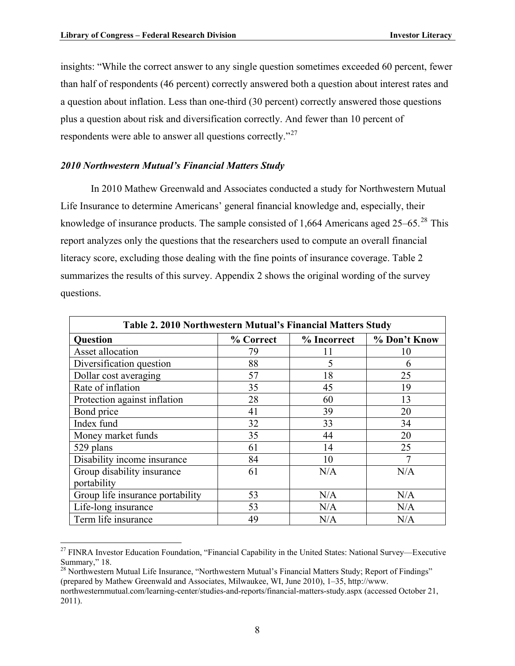insights: "While the correct answer to any single question sometimes exceeded 60 percent, fewer than half of respondents (46 percent) correctly answered both a question about interest rates and a question about inflation. Less than one-third (30 percent) correctly answered those questions plus a question about risk and diversification correctly. And fewer than 10 percent of respondents were able to answer all questions correctly."[27](#page-11-3)

#### <span id="page-11-1"></span>*2010 Northwestern Mutual's Financial Matters Study*

 $\overline{a}$ 

In 2010 Mathew Greenwald and Associates conducted a study for Northwestern Mutual Life Insurance to determine Americans' general financial knowledge and, especially, their knowledge of insurance products. The sample consisted of 1,664 Americans aged  $25-65$ .<sup>[28](#page-11-2)</sup> This report analyzes only the questions that the researchers used to compute an overall financial literacy score, excluding those dealing with the fine points of insurance coverage. Table 2 summarizes the results of this survey. Appendix 2 shows the original wording of the survey questions.

<span id="page-11-0"></span>

| Table 2. 2010 Northwestern Mutual's Financial Matters Study |           |             |              |  |  |  |
|-------------------------------------------------------------|-----------|-------------|--------------|--|--|--|
| <b>Question</b>                                             | % Correct | % Incorrect | % Don't Know |  |  |  |
| Asset allocation                                            | 79        | 11          | 10           |  |  |  |
| Diversification question                                    | 88        | 5           | 6            |  |  |  |
| Dollar cost averaging                                       | 57        | 18          | 25           |  |  |  |
| Rate of inflation                                           | 35        | 45          | 19           |  |  |  |
| Protection against inflation                                | 28        | 60          | 13           |  |  |  |
| Bond price                                                  | 41        | 39          | 20           |  |  |  |
| Index fund                                                  | 32        | 33          | 34           |  |  |  |
| Money market funds                                          | 35        | 44          | 20           |  |  |  |
| 529 plans                                                   | 61        | 14          | 25           |  |  |  |
| Disability income insurance                                 | 84        | 10          |              |  |  |  |
| Group disability insurance                                  | 61        | N/A         | N/A          |  |  |  |
| portability                                                 |           |             |              |  |  |  |
| Group life insurance portability                            | 53        | N/A         | N/A          |  |  |  |
| Life-long insurance                                         | 53        | N/A         | N/A          |  |  |  |
| Term life insurance                                         | 49        | N/A         | N/A          |  |  |  |

<span id="page-11-3"></span><sup>&</sup>lt;sup>27</sup> FINRA Investor Education Foundation, "Financial Capability in the United States: National Survey—Executive Summary," 18.

<span id="page-11-2"></span> $^{28}$  Northwestern Mutual Life Insurance, "Northwestern Mutual's Financial Matters Study; Report of Findings" (prepared by Mathew Greenwald and Associates, Milwaukee, WI, June 2010), 1–35, http://www.

northwesternmutual.com/learning-center/studies-and-reports/financial-matters-study.aspx (accessed October 21, 2011).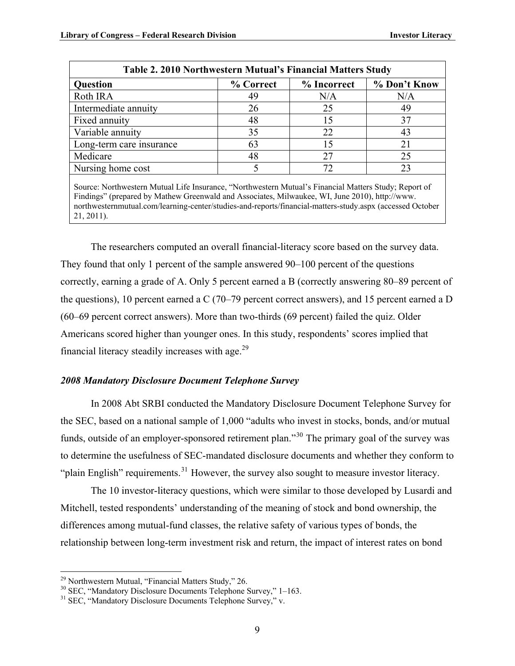| <b>Question</b>          | % Correct |     | % Don't Know |  |
|--------------------------|-----------|-----|--------------|--|
| Roth IRA                 | 49        | N/A | N/A          |  |
| Intermediate annuity     | 26        | 25  | 49           |  |
| Fixed annuity            | 48        | 15  | 37           |  |
| Variable annuity         | 35        | 22  | 43           |  |
| Long-term care insurance | 63        | 15  | 21           |  |
| Medicare                 | 48        | 27  | 25           |  |
| Nursing home cost        |           | 72  | 23           |  |

Findings" (prepared by Mathew Greenwald and Associates, Milwaukee, WI, June 2010), http://www. northwesternmutual.com/learning-center/studies-and-reports/financial-matters-study.aspx (accessed October 21, 2011).

The researchers computed an overall financial-literacy score based on the survey data. They found that only 1 percent of the sample answered 90–100 percent of the questions correctly, earning a grade of A. Only 5 percent earned a B (correctly answering 80–89 percent of the questions), 10 percent earned a C (70–79 percent correct answers), and 15 percent earned a D (60–69 percent correct answers). More than two-thirds (69 percent) failed the quiz. Older Americans scored higher than younger ones. In this study, respondents' scores implied that financial literacy steadily increases with age. $^{29}$  $^{29}$  $^{29}$ 

#### <span id="page-12-0"></span>*2008 Mandatory Disclosure Document Telephone Survey*

In 2008 Abt SRBI conducted the Mandatory Disclosure Document Telephone Survey for the SEC, based on a national sample of 1,000 "adults who invest in stocks, bonds, and/or mutual funds, outside of an employer-sponsored retirement plan."[30](#page-12-3) The primary goal of the survey was to determine the usefulness of SEC-mandated disclosure documents and whether they conform to "plain English" requirements. $31$  However, the survey also sought to measure investor literacy.

The 10 investor-literacy questions, which were similar to those developed by Lusardi and Mitchell, tested respondents' understanding of the meaning of stock and bond ownership, the differences among mutual-fund classes, the relative safety of various types of bonds, the relationship between long-term investment risk and return, the impact of interest rates on bond

1

<span id="page-12-2"></span> $29$  Northwestern Mutual, "Financial Matters Study," 26.

<span id="page-12-3"></span><sup>30</sup> SEC, "Mandatory Disclosure Documents Telephone Survey," 1–163.

<span id="page-12-1"></span><sup>&</sup>lt;sup>31</sup> SEC, "Mandatory Disclosure Documents Telephone Survey," v.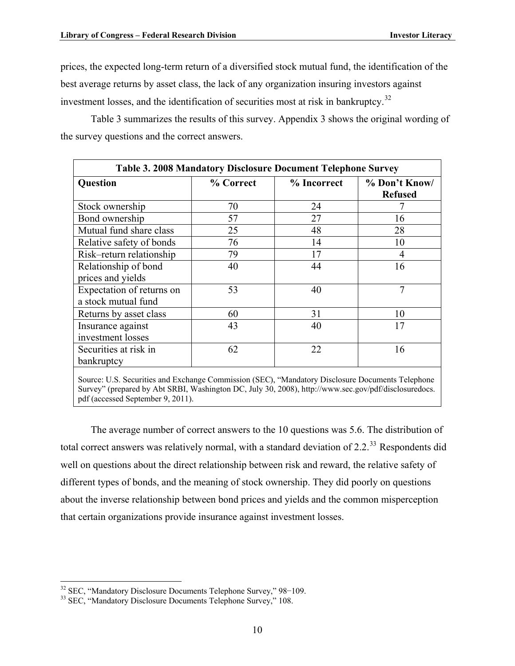prices, the expected long-term return of a diversified stock mutual fund, the identification of the best average returns by asset class, the lack of any organization insuring investors against investment losses, and the identification of securities most at risk in bankruptcy.<sup>[32](#page-13-2)</sup>

Table 3 summarizes the results of this survey. Appendix 3 shows the original wording of the survey questions and the correct answers.

<span id="page-13-0"></span>

| Table 3. 2008 Mandatory Disclosure Document Telephone Survey |           |             |                                 |  |  |
|--------------------------------------------------------------|-----------|-------------|---------------------------------|--|--|
| <b>Question</b>                                              | % Correct | % Incorrect | % Don't Know/<br><b>Refused</b> |  |  |
| Stock ownership                                              | 70        | 24          |                                 |  |  |
| Bond ownership                                               | 57        | 27          | 16                              |  |  |
| Mutual fund share class                                      | 25        | 48          | 28                              |  |  |
| Relative safety of bonds                                     | 76        | 14          | 10                              |  |  |
| Risk-return relationship                                     | 79        | 17          | $\overline{4}$                  |  |  |
| Relationship of bond<br>prices and yields                    | 40        | 44          | 16                              |  |  |
| Expectation of returns on<br>a stock mutual fund             | 53        | 40          | 7                               |  |  |
| Returns by asset class                                       | 60        | 31          | 10                              |  |  |
| Insurance against<br>investment losses                       | 43        | 40          | 17                              |  |  |
| Securities at risk in<br>bankruptcy                          | 62        | 22          | 16                              |  |  |
|                                                              |           |             |                                 |  |  |

Source: U.S. Securities and Exchange Commission (SEC), "Mandatory Disclosure Documents Telephone Survey" (prepared by Abt SRBI, Washington DC, July 30, 2008), http://www.sec.gov/pdf/disclosuredocs. pdf (accessed September 9, 2011).

The average number of correct answers to the 10 questions was 5.6. The distribution of total correct answers was relatively normal, with a standard deviation of 2.2.<sup>[33](#page-13-1)</sup> Respondents did well on questions about the direct relationship between risk and reward, the relative safety of different types of bonds, and the meaning of stock ownership. They did poorly on questions about the inverse relationship between bond prices and yields and the common misperception that certain organizations provide insurance against investment losses.

<span id="page-13-2"></span><sup>&</sup>lt;sup>32</sup> SEC, "Mandatory Disclosure Documents Telephone Survey," 98-109.

<span id="page-13-1"></span><sup>&</sup>lt;sup>33</sup> SEC, "Mandatory Disclosure Documents Telephone Survey," 108.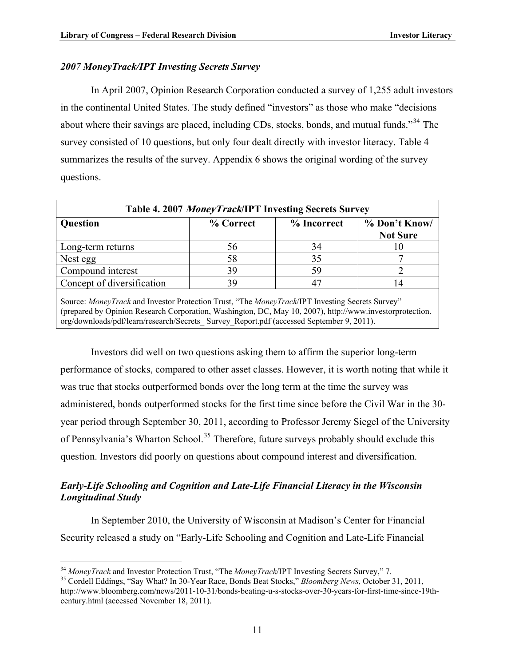#### <span id="page-14-0"></span>*2007 MoneyTrack/IPT Investing Secrets Survey*

In April 2007, Opinion Research Corporation conducted a survey of 1,255 adult investors in the continental United States. The study defined "investors" as those who make "decisions about where their savings are placed, including CDs, stocks, bonds, and mutual funds."<sup>[34](#page-14-4)</sup> The survey consisted of 10 questions, but only four dealt directly with investor literacy. Table 4 summarizes the results of the survey. Appendix 6 shows the original wording of the survey questions.

<span id="page-14-2"></span>

| Table 4. 2007 MoneyTrack/IPT Investing Secrets Survey                                           |           |             |                                  |  |  |  |
|-------------------------------------------------------------------------------------------------|-----------|-------------|----------------------------------|--|--|--|
| <b>Question</b>                                                                                 | % Correct | % Incorrect | % Don't Know/<br><b>Not Sure</b> |  |  |  |
| Long-term returns                                                                               | 56        | 34          | 10                               |  |  |  |
| Nest egg                                                                                        | 58        | 35          |                                  |  |  |  |
| Compound interest                                                                               | 39        | 59          |                                  |  |  |  |
| Concept of diversification                                                                      | 39        |             | $\overline{4}$                   |  |  |  |
| Source: MoneyTrack and Investor Protection Trust, "The MoneyTrack/IPT Investing Secrets Survey" |           |             |                                  |  |  |  |

(prepared by Opinion Research Corporation, Washington, DC, May 10, 2007), http://www.investorprotection. org/downloads/pdf/learn/research/Secrets\_ Survey\_Report.pdf (accessed September 9, 2011).

Investors did well on two questions asking them to affirm the superior long-term performance of stocks, compared to other asset classes. However, it is worth noting that while it was true that stocks outperformed bonds over the long term at the time the survey was administered, bonds outperformed stocks for the first time since before the Civil War in the 30 year period through September 30, 2011, according to Professor Jeremy Siegel of the University of Pennsylvania's Wharton School.<sup>[35](#page-14-3)</sup> Therefore, future surveys probably should exclude this question. Investors did poorly on questions about compound interest and diversification.

#### <span id="page-14-1"></span>*Early-Life Schooling and Cognition and Late-Life Financial Literacy in the Wisconsin Longitudinal Study*

In September 2010, the University of Wisconsin at Madison's Center for Financial Security released a study on "Early-Life Schooling and Cognition and Late-Life Financial

<span id="page-14-4"></span><sup>&</sup>lt;sup>34</sup> MonevTrack and Investor Protection Trust, "The MonevTrack/IPT Investing Secrets Survey," 7.

<span id="page-14-3"></span><sup>&</sup>lt;sup>35</sup> Cordell Eddings, "Say What? In 30-Year Race, Bonds Beat Stocks," *Bloomberg News*, October 31, 2011, http://www.bloomberg.com/news/2011-10-31/bonds-beating-u-s-stocks-over-30-years-for-first-time-since-19thcentury.html (accessed November 18, 2011).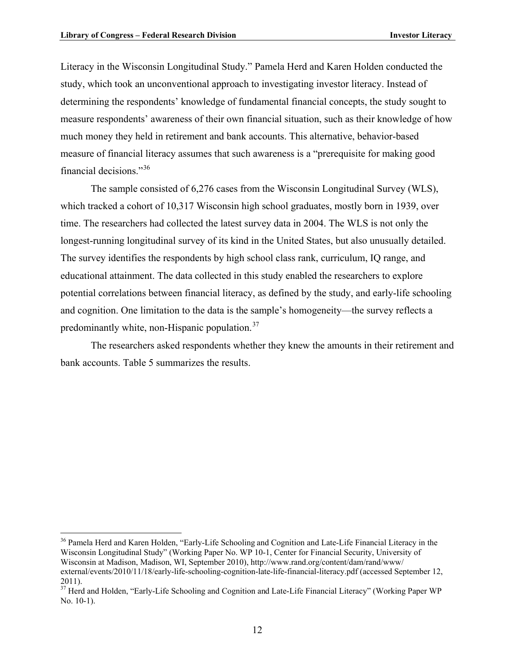<u>.</u>

Literacy in the Wisconsin Longitudinal Study." Pamela Herd and Karen Holden conducted the study, which took an unconventional approach to investigating investor literacy. Instead of determining the respondents' knowledge of fundamental financial concepts, the study sought to measure respondents' awareness of their own financial situation, such as their knowledge of how much money they held in retirement and bank accounts. This alternative, behavior-based measure of financial literacy assumes that such awareness is a "prerequisite for making good financial decisions."[36](#page-15-1)

The sample consisted of 6,276 cases from the Wisconsin Longitudinal Survey (WLS), which tracked a cohort of 10,317 Wisconsin high school graduates, mostly born in 1939, over time. The researchers had collected the latest survey data in 2004. The WLS is not only the longest-running longitudinal survey of its kind in the United States, but also unusually detailed. The survey identifies the respondents by high school class rank, curriculum, IQ range, and educational attainment. The data collected in this study enabled the researchers to explore potential correlations between financial literacy, as defined by the study, and early-life schooling and cognition. One limitation to the data is the sample's homogeneity—the survey reflects a predominantly white, non-Hispanic population.<sup>[37](#page-15-0)</sup>

The researchers asked respondents whether they knew the amounts in their retirement and bank accounts. Table 5 summarizes the results.

<span id="page-15-1"></span><sup>&</sup>lt;sup>36</sup> Pamela Herd and Karen Holden, "Early-Life Schooling and Cognition and Late-Life Financial Literacy in the Wisconsin Longitudinal Study" (Working Paper No. WP 10-1, Center for Financial Security, University of Wisconsin at Madison, Madison, WI, September 2010), http://www.rand.org/content/dam/rand/www/ external/events/2010/11/18/early-life-schooling-cognition-late-life-financial-literacy.pdf (accessed September 12, 2011).

<span id="page-15-0"></span><sup>&</sup>lt;sup>37</sup> Herd and Holden, "Early-Life Schooling and Cognition and Late-Life Financial Literacy" (Working Paper WP No. 10-1).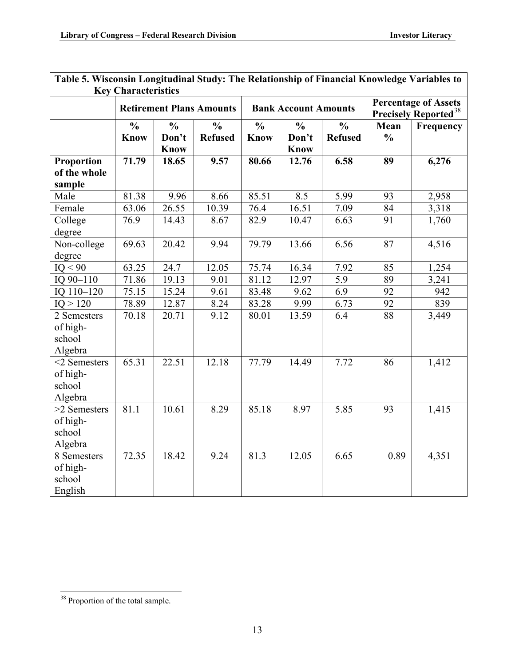| галс э. үгэсөнэш цондцийнаг эшиү. Тис кстанонынр ог гиганстаг киомсидс ү атталсу ю<br><b>Key Characteristics</b> |                              |                                                                                                                                          |                                 |                              |                                       |                                 |                       |                  |
|------------------------------------------------------------------------------------------------------------------|------------------------------|------------------------------------------------------------------------------------------------------------------------------------------|---------------------------------|------------------------------|---------------------------------------|---------------------------------|-----------------------|------------------|
|                                                                                                                  |                              | <b>Percentage of Assets</b><br><b>Retirement Plans Amounts</b><br><b>Bank Account Amounts</b><br><b>Precisely Reported</b> <sup>38</sup> |                                 |                              |                                       |                                 |                       |                  |
|                                                                                                                  | $\frac{0}{0}$<br><b>Know</b> | $\frac{0}{0}$<br>Don't<br><b>Know</b>                                                                                                    | $\frac{0}{0}$<br><b>Refused</b> | $\frac{0}{0}$<br><b>Know</b> | $\frac{0}{0}$<br>Don't<br><b>Know</b> | $\frac{0}{0}$<br><b>Refused</b> | Mean<br>$\frac{0}{0}$ | <b>Frequency</b> |
| <b>Proportion</b><br>of the whole<br>sample                                                                      | 71.79                        | 18.65                                                                                                                                    | 9.57                            | 80.66                        | 12.76                                 | 6.58                            | 89                    | 6,276            |
| Male                                                                                                             | 81.38                        | 9.96                                                                                                                                     | 8.66                            | 85.51                        | 8.5                                   | 5.99                            | 93                    | 2,958            |
| Female                                                                                                           | 63.06                        | 26.55                                                                                                                                    | 10.39                           | 76.4                         | 16.51                                 | 7.09                            | 84                    | 3,318            |
| College<br>degree                                                                                                | 76.9                         | 14.43                                                                                                                                    | 8.67                            | 82.9                         | 10.47                                 | 6.63                            | 91                    | 1,760            |
| Non-college<br>degree                                                                                            | 69.63                        | 20.42                                                                                                                                    | 9.94                            | 79.79                        | 13.66                                 | 6.56                            | 87                    | 4,516            |
| IO < 90                                                                                                          | $\overline{63.25}$           | 24.7                                                                                                                                     | 12.05                           | 75.74                        | 16.34                                 | 7.92                            | 85                    | 1,254            |
| IQ 90-110                                                                                                        | 71.86                        | 19.13                                                                                                                                    | 9.01                            | 81.12                        | 12.97                                 | 5.9                             | 89                    | 3,241            |
| IQ 110-120                                                                                                       | 75.15                        | 15.24                                                                                                                                    | 9.61                            | 83.48                        | 9.62                                  | 6.9                             | 92                    | 942              |
| IO > 120                                                                                                         | 78.89                        | 12.87                                                                                                                                    | 8.24                            | 83.28                        | 9.99                                  | 6.73                            | $\overline{92}$       | 839              |
| 2 Semesters<br>of high-<br>school<br>Algebra                                                                     | 70.18                        | 20.71                                                                                                                                    | 9.12                            | 80.01                        | 13.59                                 | 6.4                             | 88                    | 3,449            |
| $<$ 2 Semesters<br>of high-<br>school<br>Algebra                                                                 | 65.31                        | 22.51                                                                                                                                    | 12.18                           | 77.79                        | 14.49                                 | 7.72                            | 86                    | 1,412            |
| >2 Semesters<br>of high-<br>school<br>Algebra                                                                    | 81.1                         | 10.61                                                                                                                                    | 8.29                            | 85.18                        | 8.97                                  | 5.85                            | 93                    | 1,415            |
| 8 Semesters<br>of high-<br>school<br>English                                                                     | 72.35                        | 18.42                                                                                                                                    | 9.24                            | 81.3                         | 12.05                                 | 6.65                            | 0.89                  | 4,351            |

# <span id="page-16-0"></span>**Table 5. Wisconsin Longitudinal Study: The Relationship of Financial Knowledge Variables to**

 $\overline{a}$ 

<span id="page-16-1"></span><sup>&</sup>lt;sup>38</sup> Proportion of the total sample.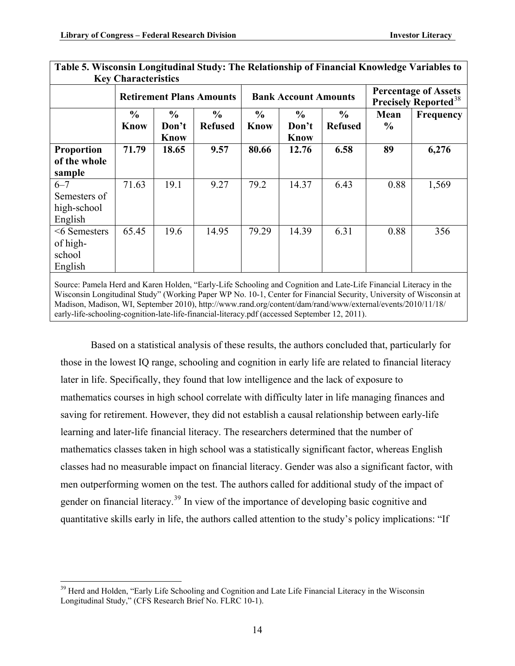|                                                   | $1000$ $1000$ $1000$ $1000$<br><b>Key Characteristics</b> |                                       |                                 |                              |                                |                                 |                       |                                                                        |
|---------------------------------------------------|-----------------------------------------------------------|---------------------------------------|---------------------------------|------------------------------|--------------------------------|---------------------------------|-----------------------|------------------------------------------------------------------------|
|                                                   |                                                           | <b>Retirement Plans Amounts</b>       |                                 |                              | <b>Bank Account Amounts</b>    |                                 |                       | <b>Percentage of Assets</b><br><b>Precisely Reported</b> <sup>38</sup> |
|                                                   | $\%$<br><b>Know</b>                                       | $\frac{6}{9}$<br>Don't<br><b>Know</b> | $\frac{6}{9}$<br><b>Refused</b> | $\frac{0}{0}$<br><b>Know</b> | $\frac{0}{0}$<br>Don't<br>Know | $\frac{6}{9}$<br><b>Refused</b> | Mean<br>$\frac{6}{6}$ | Frequency                                                              |
| Proportion<br>of the whole<br>sample              | 71.79                                                     | 18.65                                 | 9.57                            | 80.66                        | 12.76                          | 6.58                            | 89                    | 6,276                                                                  |
| $6 - 7$<br>Semesters of<br>high-school<br>English | 71.63                                                     | 19.1                                  | 9.27                            | 79.2                         | 14.37                          | 6.43                            | 0.88                  | 1,569                                                                  |
| $<6$ Semesters<br>of high-<br>school<br>English   | 65.45                                                     | 19.6                                  | 14.95                           | 79.29                        | 14.39                          | 6.31                            | 0.88                  | 356                                                                    |

**Table 5. Wisconsin Longitudinal Study: The Relationship of Financial Knowledge Variables to** 

Source: Pamela Herd and Karen Holden, "Early-Life Schooling and Cognition and Late-Life Financial Literacy in the Wisconsin Longitudinal Study" (Working Paper WP No. 10-1, Center for Financial Security, University of Wisconsin at Madison, Madison, WI, September 2010), http://www.rand.org/content/dam/rand/www/external/events/2010/11/18/ early-life-schooling-cognition-late-life-financial-literacy.pdf (accessed September 12, 2011).

Based on a statistical analysis of these results, the authors concluded that, particularly for those in the lowest IQ range, schooling and cognition in early life are related to financial literacy later in life. Specifically, they found that low intelligence and the lack of exposure to mathematics courses in high school correlate with difficulty later in life managing finances and saving for retirement. However, they did not establish a causal relationship between early-life learning and later-life financial literacy. The researchers determined that the number of mathematics classes taken in high school was a statistically significant factor, whereas English classes had no measurable impact on financial literacy. Gender was also a significant factor, with men outperforming women on the test. The authors called for additional study of the impact of gender on financial literacy.<sup>[39](#page-17-0)</sup> In view of the importance of developing basic cognitive and quantitative skills early in life, the authors called attention to the study's policy implications: "If

1

<span id="page-17-0"></span><sup>&</sup>lt;sup>39</sup> Herd and Holden, "Early Life Schooling and Cognition and Late Life Financial Literacy in the Wisconsin Longitudinal Study," (CFS Research Brief No. FLRC 10-1).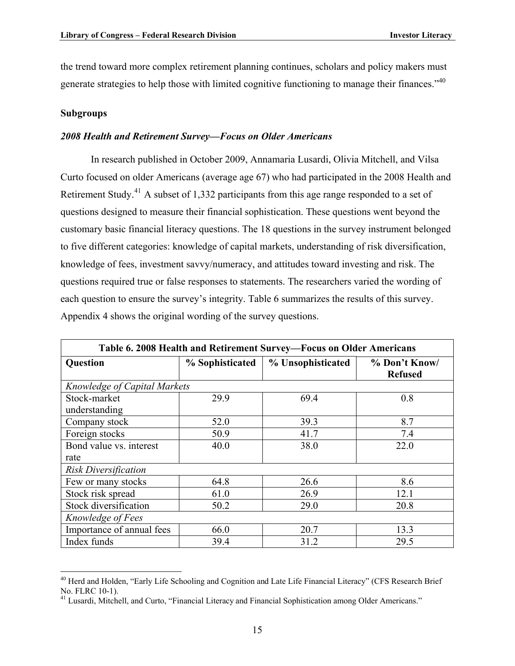the trend toward more complex retirement planning continues, scholars and policy makers must generate strategies to help those with limited cognitive functioning to manage their finances."<sup>[40](#page-18-4)</sup>

#### <span id="page-18-0"></span>**Subgroups**

#### <span id="page-18-1"></span>*2008 Health and Retirement Survey—Focus on Older Americans*

In research published in October 2009, Annamaria Lusardi, Olivia Mitchell, and Vilsa Curto focused on older Americans (average age 67) who had participated in the 2008 Health and Retirement Study.<sup>[41](#page-18-3)</sup> A subset of 1,332 participants from this age range responded to a set of questions designed to measure their financial sophistication. These questions went beyond the customary basic financial literacy questions. The 18 questions in the survey instrument belonged to five different categories: knowledge of capital markets, understanding of risk diversification, knowledge of fees, investment savvy/numeracy, and attitudes toward investing and risk. The questions required true or false responses to statements. The researchers varied the wording of each question to ensure the survey's integrity. Table 6 summarizes the results of this survey. Appendix 4 shows the original wording of the survey questions.

<span id="page-18-2"></span>

| Table 6. 2008 Health and Retirement Survey-Focus on Older Americans |                 |                   |                                 |  |  |  |
|---------------------------------------------------------------------|-----------------|-------------------|---------------------------------|--|--|--|
| <b>Question</b>                                                     | % Sophisticated | % Unsophisticated | % Don't Know/<br><b>Refused</b> |  |  |  |
| Knowledge of Capital Markets                                        |                 |                   |                                 |  |  |  |
| Stock-market                                                        | 29.9            | 69.4              | 0.8                             |  |  |  |
| understanding                                                       |                 |                   |                                 |  |  |  |
| Company stock                                                       | 52.0            | 39.3              | 8.7                             |  |  |  |
| Foreign stocks                                                      | 50.9            | 41.7              | 7.4                             |  |  |  |
| Bond value vs. interest                                             | 40.0            | 38.0              | 22.0                            |  |  |  |
| rate                                                                |                 |                   |                                 |  |  |  |
| <b>Risk Diversification</b>                                         |                 |                   |                                 |  |  |  |
| Few or many stocks                                                  | 64.8            | 26.6              | 8.6                             |  |  |  |
| Stock risk spread                                                   | 61.0            | 26.9              | 12.1                            |  |  |  |
| Stock diversification                                               | 50.2            | 29.0              | 20.8                            |  |  |  |
| Knowledge of Fees                                                   |                 |                   |                                 |  |  |  |
| Importance of annual fees                                           | 66.0            | 20.7              | 13.3                            |  |  |  |
| Index funds                                                         | 39.4            | 31.2              | 29.5                            |  |  |  |

<span id="page-18-4"></span> $\overline{a}$ <sup>40</sup> Herd and Holden, "Early Life Schooling and Cognition and Late Life Financial Literacy" (CFS Research Brief No. FLRC 10-1).

<span id="page-18-3"></span><sup>&</sup>lt;sup>41</sup> Lusardi, Mitchell, and Curto, "Financial Literacy and Financial Sophistication among Older Americans."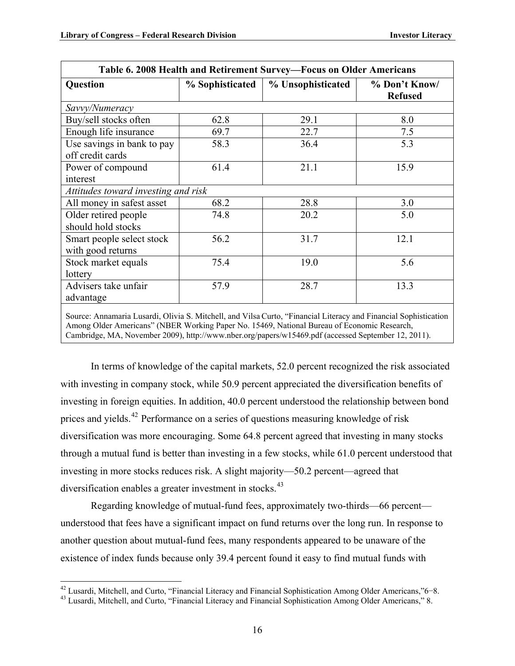| Question                                       | % Sophisticated | % Unsophisticated | % Don't Know/<br><b>Refused</b> |
|------------------------------------------------|-----------------|-------------------|---------------------------------|
| Savvy/Numeracy                                 |                 |                   |                                 |
| Buy/sell stocks often                          | 62.8            | 29.1              | 8.0                             |
| Enough life insurance                          | 69.7            | 22.7              | 7.5                             |
| Use savings in bank to pay<br>off credit cards | 58.3            | 36.4              | 5.3                             |
| Power of compound<br>interest                  | 61.4            | 21.1              | 15.9                            |
| Attitudes toward investing and risk            |                 |                   |                                 |
| All money in safest asset                      | 68.2            | 28.8              | 3.0                             |
| Older retired people<br>should hold stocks     | 74.8            | 20.2              | 5.0                             |
| Smart people select stock<br>with good returns | 56.2            | 31.7              | 12.1                            |
| Stock market equals<br>lottery                 | 75.4            | 19.0              | 5.6                             |
| Advisers take unfair<br>advantage              | 57.9            | 28.7              | 13.3                            |

Among Older Americans" (NBER Working Paper No. 15469, National Bureau of Economic Research, Cambridge, MA, November 2009), http://www.nber.org/papers/w15469.pdf (accessed September 12, 2011).

In terms of knowledge of the capital markets, 52.0 percent recognized the risk associated with investing in company stock, while 50.9 percent appreciated the diversification benefits of investing in foreign equities. In addition, 40.0 percent understood the relationship between bond prices and yields.[42](#page-19-1) Performance on a series of questions measuring knowledge of risk diversification was more encouraging. Some 64.8 percent agreed that investing in many stocks through a mutual fund is better than investing in a few stocks, while 61.0 percent understood that investing in more stocks reduces risk. A slight majority—50.2 percent—agreed that diversification enables a greater investment in stocks.<sup>[43](#page-19-0)</sup>

Regarding knowledge of mutual-fund fees, approximately two-thirds—66 percent understood that fees have a significant impact on fund returns over the long run. In response to another question about mutual-fund fees, many respondents appeared to be unaware of the existence of index funds because only 39.4 percent found it easy to find mutual funds with

<span id="page-19-1"></span><sup>&</sup>lt;sup>42</sup> Lusardi, Mitchell, and Curto, "Financial Literacy and Financial Sophistication Among Older Americans,"6-8.

<span id="page-19-0"></span><sup>&</sup>lt;sup>43</sup> Lusardi, Mitchell, and Curto, "Financial Literacy and Financial Sophistication Among Older Americans," 8.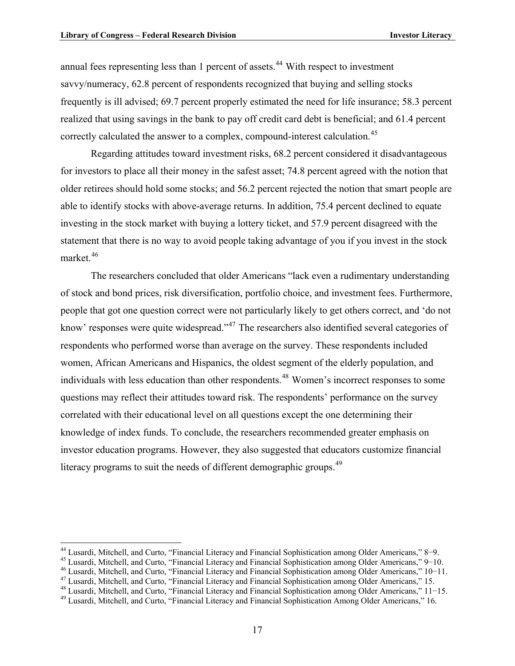1

annual fees representing less than 1 percent of assets.<sup>[44](#page-20-1)</sup> With respect to investment savvy/numeracy, 62.8 percent of respondents recognized that buying and selling stocks frequently is ill advised; 69.7 percent properly estimated the need for life insurance; 58.3 percent realized that using savings in the bank to pay off credit card debt is beneficial; and 61.4 percent correctly calculated the answer to a complex, compound-interest calculation.<sup>[45](#page-20-2)</sup>

Regarding attitudes toward investment risks, 68.2 percent considered it disadvantageous for investors to place all their money in the safest asset; 74.8 percent agreed with the notion that older retirees should hold some stocks; and 56.2 percent rejected the notion that smart people are able to identify stocks with above-average returns. In addition, 75.4 percent declined to equate investing in the stock market with buying a lottery ticket, and 57.9 percent disagreed with the statement that there is no way to avoid people taking advantage of you if you invest in the stock market.<sup>[46](#page-20-3)</sup>

The researchers concluded that older Americans "lack even a rudimentary understanding of stock and bond prices, risk diversification, portfolio choice, and investment fees. Furthermore, people that got one question correct were not particularly likely to get others correct, and 'do not know' responses were quite widespread."<sup>[47](#page-20-4)</sup> The researchers also identified several categories of respondents who performed worse than average on the survey. These respondents included women, African Americans and Hispanics, the oldest segment of the elderly population, and individuals with less education than other respondents.<sup>[48](#page-20-5)</sup> Women's incorrect responses to some questions may reflect their attitudes toward risk. The respondents' performance on the survey correlated with their educational level on all questions except the one determining their knowledge of index funds. To conclude, the researchers recommended greater emphasis on investor education programs. However, they also suggested that educators customize financial literacy programs to suit the needs of different demographic groups.<sup>[49](#page-20-0)</sup>

<span id="page-20-3"></span>

<span id="page-20-2"></span><span id="page-20-1"></span><sup>&</sup>lt;sup>44</sup> Lusardi, Mitchell, and Curto, "Financial Literacy and Financial Sophistication among Older Americans," 8–9.<br><sup>45</sup> Lusardi, Mitchell, and Curto, "Financial Literacy and Financial Sophistication among Older Americans,"

<span id="page-20-5"></span><span id="page-20-4"></span>

<span id="page-20-0"></span>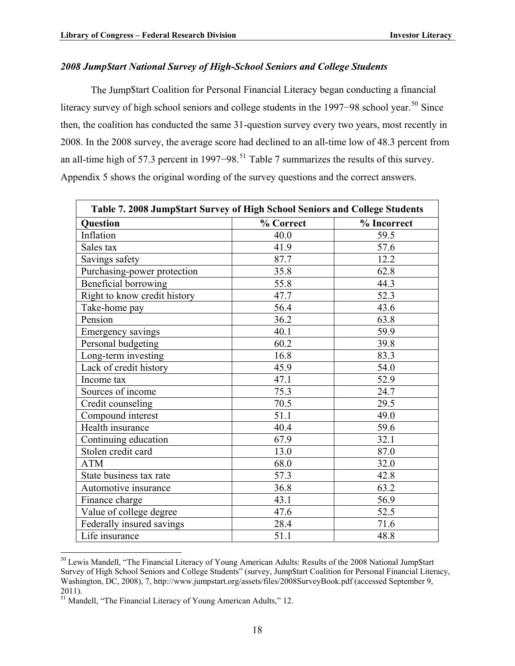#### <span id="page-21-0"></span>*2008 Jump\$tart National Survey of High-School Seniors and College Students*

The Jump\$tart Coalition for Personal Financial Literacy began conducting a financial literacy survey of high school seniors and college students in the 1997–98 school year.<sup>[50](#page-21-3)</sup> Since then, the coalition has conducted the same 31-question survey every two years, most recently in 2008. In the 2008 survey, the average score had declined to an all-time low of 48.3 percent from an all-time high of 57.3 percent in 1997–98.<sup>[51](#page-21-2)</sup> Table 7 summarizes the results of this survey. Appendix 5 shows the original wording of the survey questions and the correct answers.

<span id="page-21-1"></span>

| Table 7. 2008 Jump\$tart Survey of High School Seniors and College Students |           |             |  |  |  |
|-----------------------------------------------------------------------------|-----------|-------------|--|--|--|
| <b>Question</b>                                                             | % Correct | % Incorrect |  |  |  |
| Inflation                                                                   | 40.0      | 59.5        |  |  |  |
| Sales tax                                                                   | 41.9      | 57.6        |  |  |  |
| Savings safety                                                              | 87.7      | 12.2        |  |  |  |
| Purchasing-power protection                                                 | 35.8      | 62.8        |  |  |  |
| Beneficial borrowing                                                        | 55.8      | 44.3        |  |  |  |
| Right to know credit history                                                | 47.7      | 52.3        |  |  |  |
| Take-home pay                                                               | 56.4      | 43.6        |  |  |  |
| Pension                                                                     | 36.2      | 63.8        |  |  |  |
| <b>Emergency savings</b>                                                    | 40.1      | 59.9        |  |  |  |
| Personal budgeting                                                          | 60.2      | 39.8        |  |  |  |
| Long-term investing                                                         | 16.8      | 83.3        |  |  |  |
| Lack of credit history                                                      | 45.9      | 54.0        |  |  |  |
| Income tax                                                                  | 47.1      | 52.9        |  |  |  |
| Sources of income                                                           | 75.3      | 24.7        |  |  |  |
| Credit counseling                                                           | 70.5      | 29.5        |  |  |  |
| Compound interest                                                           | 51.1      | 49.0        |  |  |  |
| Health insurance                                                            | 40.4      | 59.6        |  |  |  |
| Continuing education                                                        | 67.9      | 32.1        |  |  |  |
| Stolen credit card                                                          | 13.0      | 87.0        |  |  |  |
| <b>ATM</b>                                                                  | 68.0      | 32.0        |  |  |  |
| State business tax rate                                                     | 57.3      | 42.8        |  |  |  |
| Automotive insurance                                                        | 36.8      | 63.2        |  |  |  |
| Finance charge                                                              | 43.1      | 56.9        |  |  |  |
| Value of college degree                                                     | 47.6      | 52.5        |  |  |  |
| Federally insured savings                                                   | 28.4      | 71.6        |  |  |  |
| Life insurance                                                              | 51.1      | 48.8        |  |  |  |

<span id="page-21-3"></span><sup>&</sup>lt;sup>50</sup> Lewis Mandell, "The Financial Literacy of Young American Adults: Results of the 2008 National Jump\$tart Survey of High School Seniors and College Students" (survey, Jump\$tart Coalition for Personal Financial Literacy, Washington, DC, 2008), 7, http://www.jumpstart.org/assets/files/2008SurveyBook.pdf (accessed September 9, 2011).

 $\overline{a}$ 

<span id="page-21-2"></span><sup>&</sup>lt;sup>51</sup> Mandell, "The Financial Literacy of Young American Adults," 12.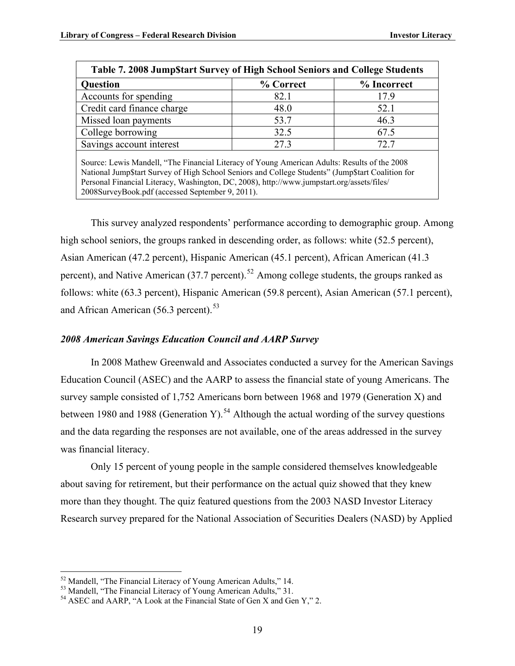| Table 7. 2008 Jump\$tart Survey of High School Seniors and College Students<br>% Correct<br>% Incorrect<br><b>Question</b>                                                                        |      |      |  |  |  |  |
|---------------------------------------------------------------------------------------------------------------------------------------------------------------------------------------------------|------|------|--|--|--|--|
| Accounts for spending                                                                                                                                                                             | 82.1 | 17.9 |  |  |  |  |
| Credit card finance charge                                                                                                                                                                        | 48.0 | 52.1 |  |  |  |  |
| Missed loan payments                                                                                                                                                                              | 53.7 | 46.3 |  |  |  |  |
| College borrowing                                                                                                                                                                                 | 32.5 | 67.5 |  |  |  |  |
| Savings account interest                                                                                                                                                                          | 27.3 | 72.7 |  |  |  |  |
| Source: Lewis Mandell, "The Financial Literacy of Young American Adults: Results of the 2008<br>National Jump\$tart Survey of High School Seniors and College Students" (Jump\$tart Coalition for |      |      |  |  |  |  |

Personal Financial Literacy, Washington, DC, 2008), http://www.jumpstart.org/assets/files/ 2008SurveyBook.pdf (accessed September 9, 2011).

This survey analyzed respondents' performance according to demographic group. Among high school seniors, the groups ranked in descending order, as follows: white (52.5 percent), Asian American (47.2 percent), Hispanic American (45.1 percent), African American (41.3 percent), and Native American (37.7 percent).<sup>[52](#page-22-2)</sup> Among college students, the groups ranked as follows: white (63.3 percent), Hispanic American (59.8 percent), Asian American (57.1 percent), and African American (56.3 percent).<sup>[53](#page-22-3)</sup>

#### <span id="page-22-0"></span>*2008 American Savings Education Council and AARP Survey*

In 2008 Mathew Greenwald and Associates conducted a survey for the American Savings Education Council (ASEC) and the AARP to assess the financial state of young Americans. The survey sample consisted of 1,752 Americans born between 1968 and 1979 (Generation X) and between 1980 and 1988 (Generation Y).<sup>[54](#page-22-1)</sup> Although the actual wording of the survey questions and the data regarding the responses are not available, one of the areas addressed in the survey was financial literacy.

Only 15 percent of young people in the sample considered themselves knowledgeable about saving for retirement, but their performance on the actual quiz showed that they knew more than they thought. The quiz featured questions from the 2003 NASD Investor Literacy Research survey prepared for the National Association of Securities Dealers (NASD) by Applied

1

<span id="page-22-2"></span><sup>52</sup> Mandell, "The Financial Literacy of Young American Adults," 14.

<span id="page-22-3"></span><sup>53</sup> Mandell, "The Financial Literacy of Young American Adults," 31.

<span id="page-22-1"></span><sup>54</sup> ASEC and AARP, "A Look at the Financial State of Gen X and Gen Y," 2.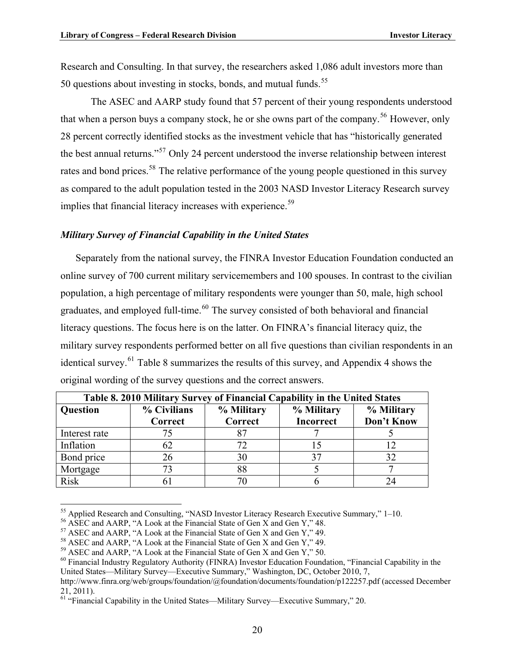Research and Consulting. In that survey, the researchers asked 1,086 adult investors more than 50 questions about investing in stocks, bonds, and mutual funds.<sup>[55](#page-23-3)</sup>

The ASEC and AARP study found that 57 percent of their young respondents understood that when a person buys a company stock, he or she owns part of the company.<sup>[56](#page-23-4)</sup> However, only 28 percent correctly identified stocks as the investment vehicle that has "historically generated the best annual returns."[57](#page-23-5) Only 24 percent understood the inverse relationship between interest rates and bond prices.<sup>[58](#page-23-6)</sup> The relative performance of the young people questioned in this survey as compared to the adult population tested in the 2003 NASD Investor Literacy Research survey implies that financial literacy increases with experience.<sup>[59](#page-23-7)</sup>

#### <span id="page-23-0"></span>*Military Survey of Financial Capability in the United States*

Separately from the national survey, the FINRA Investor Education Foundation conducted an online survey of 700 current military servicemembers and 100 spouses. In contrast to the civilian population, a high percentage of military respondents were younger than 50, male, high school graduates, and employed full-time.<sup>[60](#page-23-8)</sup> The survey consisted of both behavioral and financial literacy questions. The focus here is on the latter. On FINRA's financial literacy quiz, the military survey respondents performed better on all five questions than civilian respondents in an identical survey.[61](#page-23-2) Table 8 summarizes the results of this survey, and Appendix 4 shows the original wording of the survey questions and the correct answers.

<span id="page-23-1"></span>

| Table 8. 2010 Military Survey of Financial Capability in the United States |             |            |                  |            |  |  |
|----------------------------------------------------------------------------|-------------|------------|------------------|------------|--|--|
| Question                                                                   | % Civilians | % Military | % Military       | % Military |  |  |
|                                                                            | Correct     | Correct    | <b>Incorrect</b> | Don't Know |  |  |
| Interest rate                                                              |             |            |                  |            |  |  |
| Inflation                                                                  | 62          |            |                  |            |  |  |
| Bond price                                                                 | 26          | 30         | 37               | 32         |  |  |
| Mortgage                                                                   | 73          | 88         |                  |            |  |  |
| <b>Risk</b>                                                                |             |            |                  |            |  |  |

<span id="page-23-3"></span><sup>&</sup>lt;sup>55</sup> Applied Research and Consulting, "NASD Investor Literacy Research Executive Summary," 1–10.

 $\overline{a}$ 

<span id="page-23-4"></span><sup>56</sup> ASEC and AARP, "A Look at the Financial State of Gen X and Gen Y," 48.

<span id="page-23-5"></span> $57$  ASEC and AARP, "A Look at the Financial State of Gen X and Gen Y," 49.

<span id="page-23-6"></span> $58$  ASEC and AARP, "A Look at the Financial State of Gen X and Gen Y," 49.

<span id="page-23-7"></span><sup>59</sup> ASEC and AARP, "A Look at the Financial State of Gen X and Gen Y," 50.

<span id="page-23-8"></span> $60$  Financial Industry Regulatory Authority (FINRA) Investor Education Foundation, "Financial Capability in the United States—Military Survey—Executive Summary," Washington, DC, October 2010, 7,

http://www.finra.org/web/groups/foundation/@foundation/documents/foundation/p122257.pdf (accessed December 21, 2011).

<span id="page-23-2"></span><sup>61 &</sup>quot;Financial Capability in the United States—Military Survey—Executive Summary," 20.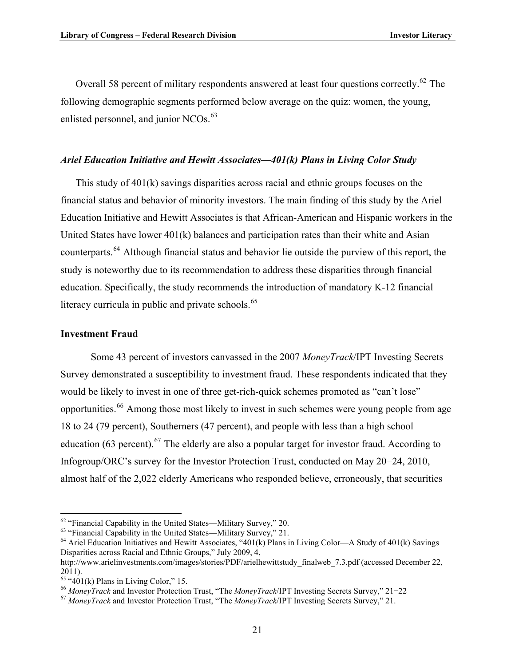Overall 58 percent of military respondents answered at least four questions correctly.<sup>[62](#page-24-3)</sup> The following demographic segments performed below average on the quiz: women, the young, enlisted personnel, and junior NCOs.<sup>[63](#page-24-4)</sup>

#### <span id="page-24-0"></span>*Ariel Education Initiative and Hewitt Associates—401(k) Plans in Living Color Study*

This study of  $401(k)$  savings disparities across racial and ethnic groups focuses on the financial status and behavior of minority investors. The main finding of this study by the Ariel Education Initiative and Hewitt Associates is that African-American and Hispanic workers in the United States have lower 401(k) balances and participation rates than their white and Asian counterparts.[64](#page-24-5) Although financial status and behavior lie outside the purview of this report, the study is noteworthy due to its recommendation to address these disparities through financial education. Specifically, the study recommends the introduction of mandatory K-12 financial literacy curricula in public and private schools.<sup>[65](#page-24-6)</sup>

#### <span id="page-24-1"></span>**Investment Fraud**

1

Some 43 percent of investors canvassed in the 2007 *MoneyTrack*/IPT Investing Secrets Survey demonstrated a susceptibility to investment fraud. These respondents indicated that they would be likely to invest in one of three get-rich-quick schemes promoted as "can't lose" opportunities.[66](#page-24-7) Among those most likely to invest in such schemes were young people from age 18 to 24 (79 percent), Southerners (47 percent), and people with less than a high school education (63 percent).<sup>[67](#page-24-2)</sup> The elderly are also a popular target for investor fraud. According to Infogroup/ORC's survey for the Investor Protection Trust, conducted on May  $20-24$ ,  $2010$ , almost half of the 2,022 elderly Americans who responded believe, erroneously, that securities

 $62$  "Financial Capability in the United States—Military Survey," 20.

<span id="page-24-4"></span><span id="page-24-3"></span><sup>&</sup>lt;sup>63</sup> "Financial Capability in the United States—Military Survey," 21.

<span id="page-24-5"></span> $64$  Ariel Education Initiatives and Hewitt Associates, "401(k) Plans in Living Color—A Study of 401(k) Savings Disparities across Racial and Ethnic Groups," July 2009, 4, http://www.arielinvestments.com/images/stories/PDF/arielhewittstudy\_finalweb\_7.3.pdf (accessed December 22,

<sup>2011).</sup>   $65$  "401(k) Plans in Living Color," 15.

<span id="page-24-7"></span><span id="page-24-6"></span><sup>&</sup>lt;sup>66</sup> MoneyTrack and Investor Protection Trust, "The *MoneyTrack*/IPT Investing Secrets Survey," 21–22 <sup>67</sup> *MoneyTrack* and Investor Protection Trust, "The *MoneyTrack*/IPT Investing Secrets Survey," 21.

<span id="page-24-2"></span>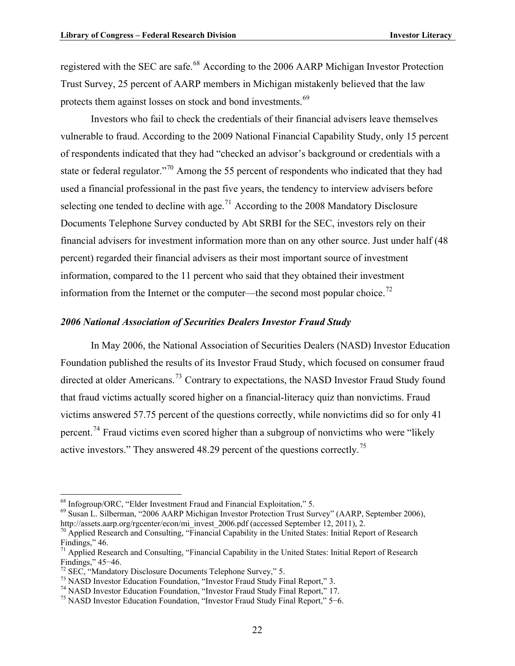registered with the SEC are safe.<sup>[68](#page-25-2)</sup> According to the 2006 AARP Michigan Investor Protection Trust Survey, 25 percent of AARP members in Michigan mistakenly believed that the law protects them against losses on stock and bond investments.<sup>[69](#page-25-3)</sup>

Investors who fail to check the credentials of their financial advisers leave themselves vulnerable to fraud. According to the 2009 National Financial Capability Study, only 15 percent of respondents indicated that they had "checked an advisor's background or credentials with a state or federal regulator."<sup>[70](#page-25-4)</sup> Among the 55 percent of respondents who indicated that they had used a financial professional in the past five years, the tendency to interview advisers before selecting one tended to decline with age.<sup>[71](#page-25-5)</sup> According to the 2008 Mandatory Disclosure Documents Telephone Survey conducted by Abt SRBI for the SEC, investors rely on their financial advisers for investment information more than on any other source. Just under half (48 percent) regarded their financial advisers as their most important source of investment information, compared to the 11 percent who said that they obtained their investment information from the Internet or the computer—the second most popular choice.<sup>[72](#page-25-6)</sup>

#### <span id="page-25-0"></span>*2006 National Association of Securities Dealers Investor Fraud Study*

In May 2006, the National Association of Securities Dealers (NASD) Investor Education Foundation published the results of its Investor Fraud Study, which focused on consumer fraud directed at older Americans.<sup>[73](#page-25-7)</sup> Contrary to expectations, the NASD Investor Fraud Study found that fraud victims actually scored higher on a financial-literacy quiz than nonvictims. Fraud victims answered 57.75 percent of the questions correctly, while nonvictims did so for only 41 percent.<sup>[74](#page-25-8)</sup> Fraud victims even scored higher than a subgroup of nonvictims who were "likely" active investors." They answered 48.29 percent of the questions correctly.<sup>[75](#page-25-1)</sup>

1

<span id="page-25-2"></span><sup>68</sup> Infogroup/ORC, "Elder Investment Fraud and Financial Exploitation," 5.

<span id="page-25-3"></span> $^{69}$  Susan L. Silberman, "2006 AARP Michigan Investor Protection Trust Survey" (AARP, September 2006), http://assets.aarp.org/rgcenter/econ/mi invest 2006.pdf (accessed September 12, 2011), 2.

<span id="page-25-4"></span><sup>&</sup>lt;sup>70</sup> Applied Research and Consulting, "Financial Capability in the United States: Initial Report of Research Findings," 46.

<span id="page-25-5"></span><sup>&</sup>lt;sup>71</sup> Applied Research and Consulting, "Financial Capability in the United States: Initial Report of Research Findings,"  $45-46$ .

<span id="page-25-6"></span> $72$  SEC, "Mandatory Disclosure Documents Telephone Survey," 5.

<sup>&</sup>lt;sup>73</sup> NASD Investor Education Foundation, "Investor Fraud Study Final Report," 3.

<span id="page-25-8"></span><span id="page-25-7"></span><sup>74</sup> NASD Investor Education Foundation, "Investor Fraud Study Final Report," 17.

<span id="page-25-1"></span> $75$  NASD Investor Education Foundation, "Investor Fraud Study Final Report,"  $5-6$ .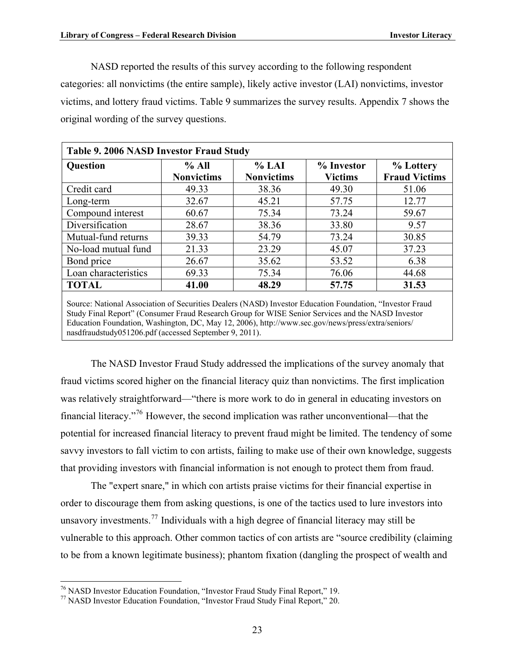NASD reported the results of this survey according to the following respondent categories: all nonvictims (the entire sample), likely active investor (LAI) nonvictims, investor victims, and lottery fraud victims. Table 9 summarizes the survey results. Appendix 7 shows the original wording of the survey questions.

<span id="page-26-0"></span>

| Table 9. 2006 NASD Investor Fraud Study                                                                 |                   |                   |                |                      |  |  |
|---------------------------------------------------------------------------------------------------------|-------------------|-------------------|----------------|----------------------|--|--|
| Question                                                                                                | % All             | % LAI             | % Investor     | % Lottery            |  |  |
|                                                                                                         | <b>Nonvictims</b> | <b>Nonvictims</b> | <b>Victims</b> | <b>Fraud Victims</b> |  |  |
| Credit card                                                                                             | 49.33             | 38.36             | 49.30          | 51.06                |  |  |
| Long-term                                                                                               | 32.67             | 45.21             | 57.75          | 12.77                |  |  |
| Compound interest                                                                                       | 60.67             | 75.34             | 73.24          | 59.67                |  |  |
| Diversification                                                                                         | 28.67             | 38.36             | 33.80          | 9.57                 |  |  |
| Mutual-fund returns                                                                                     | 39.33             | 54.79             | 73.24          | 30.85                |  |  |
| No-load mutual fund                                                                                     | 21.33             | 23.29             | 45.07          | 37.23                |  |  |
| Bond price                                                                                              | 26.67             | 35.62             | 53.52          | 6.38                 |  |  |
| Loan characteristics                                                                                    | 69.33             | 75.34             | 76.06          | 44.68                |  |  |
| <b>TOTAL</b>                                                                                            | 41.00             | 48.29             | 57.75          | 31.53                |  |  |
| Source: National Association of Securities Dealers (NASD) Investor Education Foundation "Investor Fraud |                   |                   |                |                      |  |  |

Source: National Association of Securities Dealers (NASD) Investor Education Foundation, "Investor Fraud Study Final Report" (Consumer Fraud Research Group for WISE Senior Services and the NASD Investor Education Foundation, Washington, DC, May 12, 2006), http://www.sec.gov/news/press/extra/seniors/ nasdfraudstudy051206.pdf (accessed September 9, 2011).

The NASD Investor Fraud Study addressed the implications of the survey anomaly that fraud victims scored higher on the financial literacy quiz than nonvictims. The first implication was relatively straightforward—"there is more work to do in general in educating investors on financial literacy."[76](#page-26-2) However, the second implication was rather unconventional—that the potential for increased financial literacy to prevent fraud might be limited. The tendency of some savvy investors to fall victim to con artists, failing to make use of their own knowledge, suggests that providing investors with financial information is not enough to protect them from fraud.

The "expert snare," in which con artists praise victims for their financial expertise in order to discourage them from asking questions, is one of the tactics used to lure investors into unsavory investments.<sup>[77](#page-26-1)</sup> Individuals with a high degree of financial literacy may still be vulnerable to this approach. Other common tactics of con artists are "source credibility (claiming to be from a known legitimate business); phantom fixation (dangling the prospect of wealth and

 $\overline{a}$ 

<span id="page-26-2"></span><sup>&</sup>lt;sup>76</sup> NASD Investor Education Foundation, "Investor Fraud Study Final Report," 19.

<span id="page-26-1"></span><sup>77</sup> NASD Investor Education Foundation, "Investor Fraud Study Final Report," 20.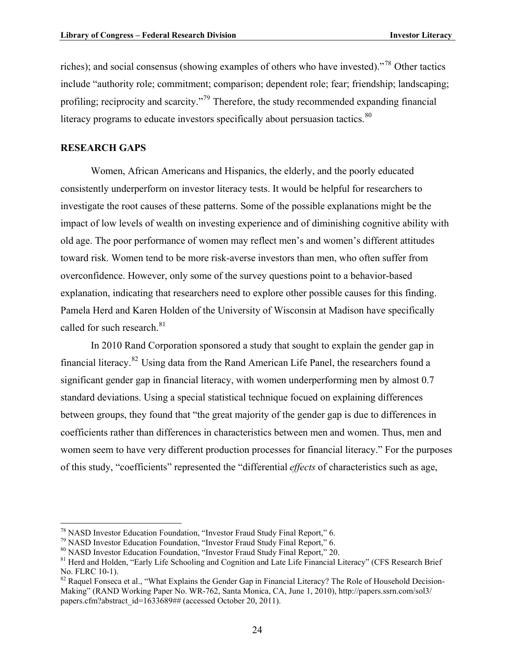riches); and social consensus (showing examples of others who have invested)."[78](#page-27-2) Other tactics include "authority role; commitment; comparison; dependent role; fear; friendship; landscaping; profiling; reciprocity and scarcity."[79](#page-27-3) Therefore, the study recommended expanding financial literacy programs to educate investors specifically about persuasion tactics. $80$ 

#### <span id="page-27-0"></span>**RESEARCH GAPS**

1

Women, African Americans and Hispanics, the elderly, and the poorly educated consistently underperform on investor literacy tests. It would be helpful for researchers to investigate the root causes of these patterns. Some of the possible explanations might be the impact of low levels of wealth on investing experience and of diminishing cognitive ability with old age. The poor performance of women may reflect men's and women's different attitudes toward risk. Women tend to be more risk-averse investors than men, who often suffer from overconfidence. However, only some of the survey questions point to a behavior-based explanation, indicating that researchers need to explore other possible causes for this finding. Pamela Herd and Karen Holden of the University of Wisconsin at Madison have specifically called for such research.<sup>[81](#page-27-5)</sup>

In 2010 Rand Corporation sponsored a study that sought to explain the gender gap in financial literacy.[82](#page-27-1) Using data from the Rand American Life Panel, the researchers found a significant gender gap in financial literacy, with women underperforming men by almost 0.7 standard deviations. Using a special statistical technique focued on explaining differences between groups, they found that "the great majority of the gender gap is due to differences in coefficients rather than differences in characteristics between men and women. Thus, men and women seem to have very different production processes for financial literacy." For the purposes of this study, "coefficients" represented the "differential *effects* of characteristics such as age,

<span id="page-27-2"></span><sup>&</sup>lt;sup>78</sup> NASD Investor Education Foundation, "Investor Fraud Study Final Report," 6.

<sup>&</sup>lt;sup>79</sup> NASD Investor Education Foundation, "Investor Fraud Study Final Report," 6.

<span id="page-27-4"></span><span id="page-27-3"></span><sup>80</sup> NASD Investor Education Foundation, "Investor Fraud Study Final Report," 20.

<span id="page-27-5"></span><sup>&</sup>lt;sup>81</sup> Herd and Holden, "Early Life Schooling and Cognition and Late Life Financial Literacy" (CFS Research Brief No. FLRC 10-1).

<span id="page-27-1"></span><sup>&</sup>lt;sup>82</sup> Raquel Fonseca et al., "What Explains the Gender Gap in Financial Literacy? The Role of Household Decision-Making" (RAND Working Paper No. WR-762, Santa Monica, CA, June 1, 2010), http://papers.ssrn.com/sol3/ papers.cfm?abstract\_id=1633689## (accessed October 20, 2011).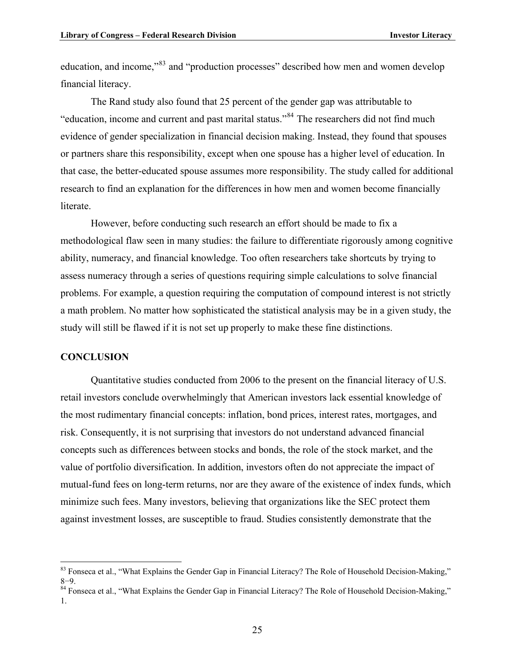education, and income,"[83](#page-28-2) and "production processes" described how men and women develop financial literacy.

The Rand study also found that 25 percent of the gender gap was attributable to "education, income and current and past marital status."[84](#page-28-1) The researchers did not find much evidence of gender specialization in financial decision making. Instead, they found that spouses or partners share this responsibility, except when one spouse has a higher level of education. In that case, the better-educated spouse assumes more responsibility. The study called for additional research to find an explanation for the differences in how men and women become financially literate.

However, before conducting such research an effort should be made to fix a methodological flaw seen in many studies: the failure to differentiate rigorously among cognitive ability, numeracy, and financial knowledge. Too often researchers take shortcuts by trying to assess numeracy through a series of questions requiring simple calculations to solve financial problems. For example, a question requiring the computation of compound interest is not strictly a math problem. No matter how sophisticated the statistical analysis may be in a given study, the study will still be flawed if it is not set up properly to make these fine distinctions.

#### <span id="page-28-0"></span>**CONCLUSION**

<u>.</u>

Quantitative studies conducted from 2006 to the present on the financial literacy of U.S. retail investors conclude overwhelmingly that American investors lack essential knowledge of the most rudimentary financial concepts: inflation, bond prices, interest rates, mortgages, and risk. Consequently, it is not surprising that investors do not understand advanced financial concepts such as differences between stocks and bonds, the role of the stock market, and the value of portfolio diversification. In addition, investors often do not appreciate the impact of mutual-fund fees on long-term returns, nor are they aware of the existence of index funds, which minimize such fees. Many investors, believing that organizations like the SEC protect them against investment losses, are susceptible to fraud. Studies consistently demonstrate that the

<span id="page-28-2"></span> $83$  Fonseca et al., "What Explains the Gender Gap in Financial Literacy? The Role of Household Decision-Making," 8–9.<br><sup>84</sup> Fonseca et al., "What Explains the Gender Gap in Financial Literacy? The Role of Household Decision-Making,"

<span id="page-28-1"></span><sup>1.</sup>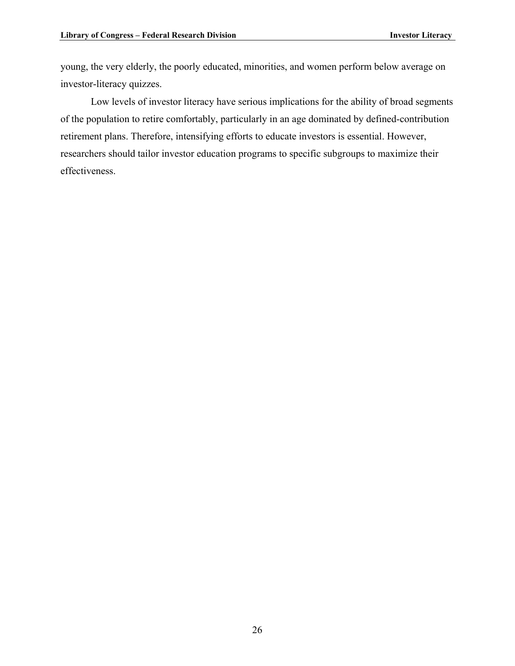young, the very elderly, the poorly educated, minorities, and women perform below average on investor-literacy quizzes.

Low levels of investor literacy have serious implications for the ability of broad segments of the population to retire comfortably, particularly in an age dominated by defined-contribution retirement plans. Therefore, intensifying efforts to educate investors is essential. However, researchers should tailor investor education programs to specific subgroups to maximize their effectiveness.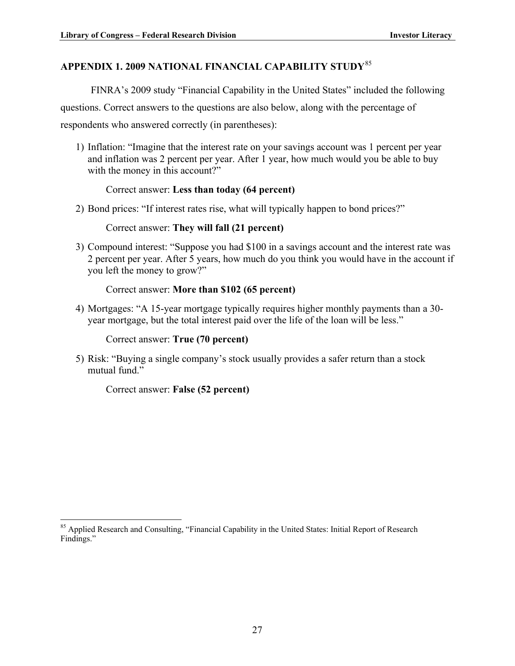# <span id="page-30-0"></span>**APPENDIX 1. 2009 NATIONAL FINANCIAL CAPABILITY STUDY**[85](#page-30-1)

FINRA's 2009 study "Financial Capability in the United States" included the following

questions. Correct answers to the questions are also below, along with the percentage of

respondents who answered correctly (in parentheses):

1) Inflation: "Imagine that the interest rate on your savings account was 1 percent per year and inflation was 2 percent per year. After 1 year, how much would you be able to buy with the money in this account?"

#### Correct answer: **Less than today (64 percent)**

2) Bond prices: "If interest rates rise, what will typically happen to bond prices?"

#### Correct answer: **They will fall (21 percent)**

3) Compound interest: "Suppose you had \$100 in a savings account and the interest rate was 2 percent per year. After 5 years, how much do you think you would have in the account if you left the money to grow?"

#### Correct answer: **More than \$102 (65 percent)**

4) Mortgages: "A 15-year mortgage typically requires higher monthly payments than a 30 year mortgage, but the total interest paid over the life of the loan will be less."

Correct answer: **True (70 percent)**

5) Risk: "Buying a single company's stock usually provides a safer return than a stock mutual fund."

Correct answer: **False (52 percent)**

<span id="page-30-1"></span><sup>1</sup> <sup>85</sup> Applied Research and Consulting, "Financial Capability in the United States: Initial Report of Research Findings."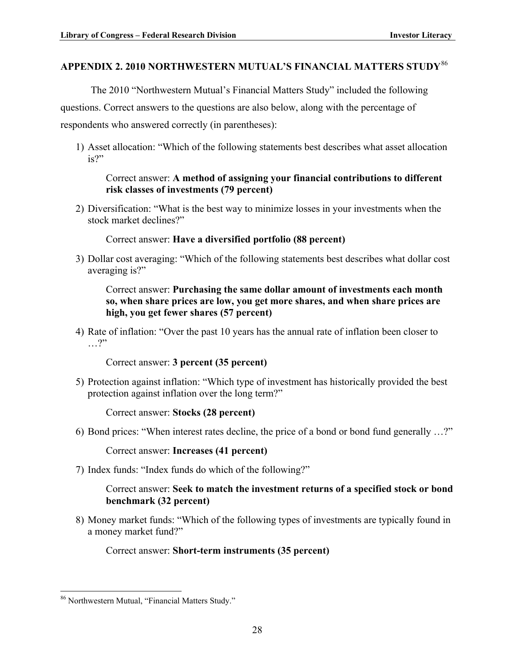#### <span id="page-31-0"></span>**APPENDIX 2. 2010 NORTHWESTERN MUTUAL'S FINANCIAL MATTERS STUDY**[86](#page-31-1)

The 2010 "Northwestern Mutual's Financial Matters Study" included the following questions. Correct answers to the questions are also below, along with the percentage of respondents who answered correctly (in parentheses):

1) Asset allocation: "Which of the following statements best describes what asset allocation is?"

#### Correct answer: **A method of assigning your financial contributions to different risk classes of investments (79 percent)**

2) Diversification: "What is the best way to minimize losses in your investments when the stock market declines?"

Correct answer: **Have a diversified portfolio (88 percent)**

3) Dollar cost averaging: "Which of the following statements best describes what dollar cost averaging is?"

Correct answer: **Purchasing the same dollar amount of investments each month so, when share prices are low, you get more shares, and when share prices are high, you get fewer shares (57 percent)**

4) Rate of inflation: "Over the past 10 years has the annual rate of inflation been closer to …?"

Correct answer: **3 percent (35 percent)**

5) Protection against inflation: "Which type of investment has historically provided the best protection against inflation over the long term?"

Correct answer: **Stocks (28 percent)**

6) Bond prices: "When interest rates decline, the price of a bond or bond fund generally …?"

Correct answer: **Increases (41 percent)**

7) Index funds: "Index funds do which of the following?"

#### Correct answer: **Seek to match the investment returns of a specified stock or bond benchmark (32 percent)**

8) Money market funds: "Which of the following types of investments are typically found in a money market fund?"

Correct answer: **Short-term instruments (35 percent)**

<span id="page-31-1"></span><sup>&</sup>lt;u>.</u> 86 Northwestern Mutual, "Financial Matters Study."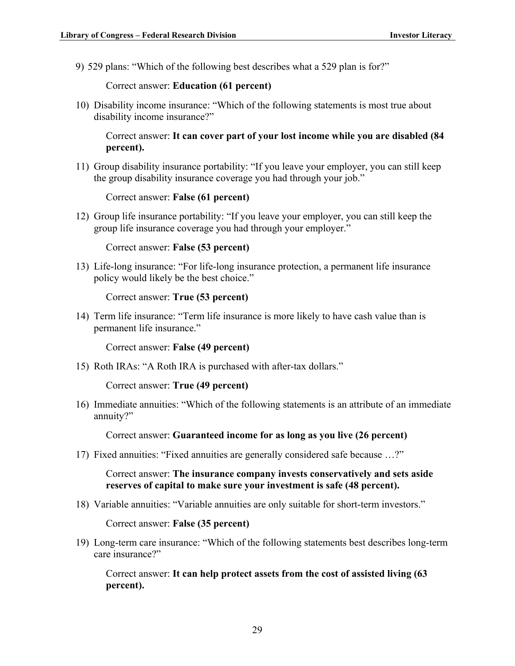9) 529 plans: "Which of the following best describes what a 529 plan is for?"

Correct answer: **Education (61 percent)**

10) Disability income insurance: "Which of the following statements is most true about disability income insurance?"

Correct answer: **It can cover part of your lost income while you are disabled (84 percent).**

11) Group disability insurance portability: "If you leave your employer, you can still keep the group disability insurance coverage you had through your job."

Correct answer: **False (61 percent)**

12) Group life insurance portability: "If you leave your employer, you can still keep the group life insurance coverage you had through your employer."

Correct answer: **False (53 percent)**

13) Life-long insurance: "For life-long insurance protection, a permanent life insurance policy would likely be the best choice."

Correct answer: **True (53 percent)**

14) Term life insurance: "Term life insurance is more likely to have cash value than is permanent life insurance."

Correct answer: **False (49 percent)**

15) Roth IRAs: "A Roth IRA is purchased with after-tax dollars."

Correct answer: **True (49 percent)**

16) Immediate annuities: "Which of the following statements is an attribute of an immediate annuity?"

Correct answer: **Guaranteed income for as long as you live (26 percent)**

17) Fixed annuities: "Fixed annuities are generally considered safe because …?"

Correct answer: **The insurance company invests conservatively and sets aside reserves of capital to make sure your investment is safe (48 percent).**

18) Variable annuities: "Variable annuities are only suitable for short-term investors."

Correct answer: **False (35 percent)**

19) Long-term care insurance: "Which of the following statements best describes long-term care insurance?"

Correct answer: **It can help protect assets from the cost of assisted living (63 percent).**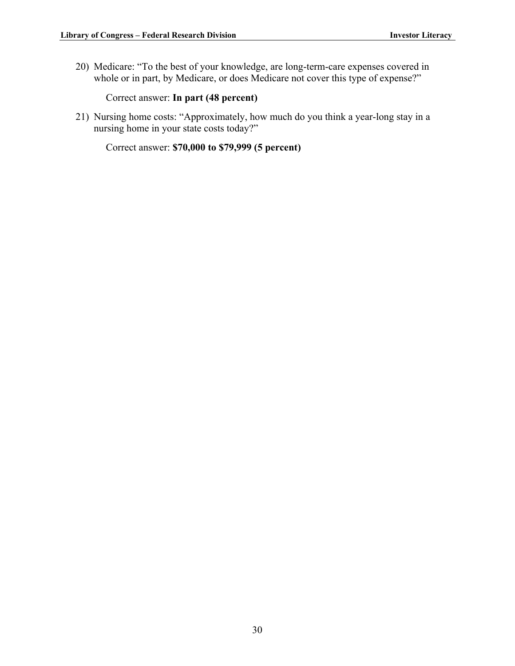20) Medicare: "To the best of your knowledge, are long-term-care expenses covered in whole or in part, by Medicare, or does Medicare not cover this type of expense?"

Correct answer: **In part (48 percent)**

21) Nursing home costs: "Approximately, how much do you think a year-long stay in a nursing home in your state costs today?"

Correct answer: **\$70,000 to \$79,999 (5 percent)**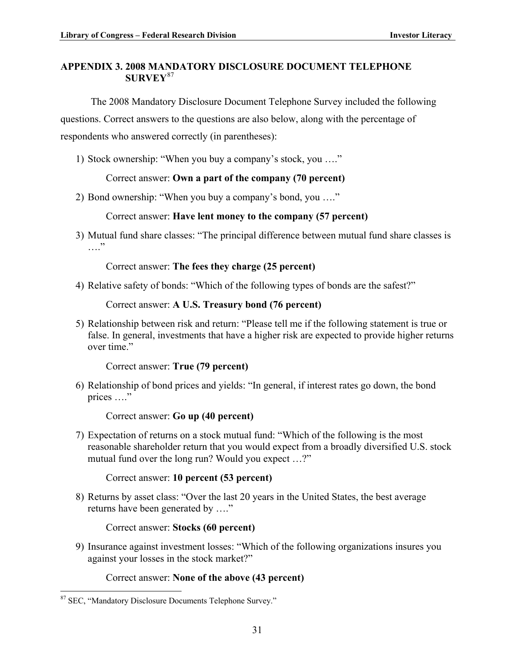#### <span id="page-34-0"></span>**APPENDIX 3. 2008 MANDATORY DISCLOSURE DOCUMENT TELEPHONE SURVEY**[87](#page-34-1)

The 2008 Mandatory Disclosure Document Telephone Survey included the following questions. Correct answers to the questions are also below, along with the percentage of respondents who answered correctly (in parentheses):

1) Stock ownership: "When you buy a company's stock, you …."

#### Correct answer: **Own a part of the company (70 percent)**

2) Bond ownership: "When you buy a company's bond, you …."

#### Correct answer: **Have lent money to the company (57 percent)**

3) Mutual fund share classes: "The principal difference between mutual fund share classes is  $\cdots$ 

Correct answer: **The fees they charge (25 percent)**

4) Relative safety of bonds: "Which of the following types of bonds are the safest?"

#### Correct answer: **A U.S. Treasury bond (76 percent)**

5) Relationship between risk and return: "Please tell me if the following statement is true or false. In general, investments that have a higher risk are expected to provide higher returns over time."

Correct answer: **True (79 percent)**

6) Relationship of bond prices and yields: "In general, if interest rates go down, the bond prices …."

Correct answer: **Go up (40 percent)**

7) Expectation of returns on a stock mutual fund: "Which of the following is the most reasonable shareholder return that you would expect from a broadly diversified U.S. stock mutual fund over the long run? Would you expect …?"

Correct answer: **10 percent (53 percent)**

8) Returns by asset class: "Over the last 20 years in the United States, the best average returns have been generated by …."

Correct answer: **Stocks (60 percent)**

9) Insurance against investment losses: "Which of the following organizations insures you against your losses in the stock market?"

Correct answer: **None of the above (43 percent)**

<u>.</u>

<span id="page-34-1"></span><sup>87</sup> SEC, "Mandatory Disclosure Documents Telephone Survey."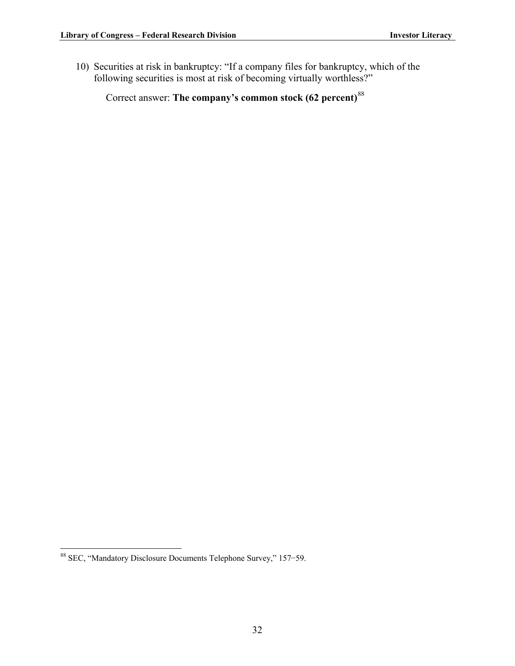10) Securities at risk in bankruptcy: "If a company files for bankruptcy, which of the following securities is most at risk of becoming virtually worthless?"

Correct answer: **The company's common stock (62 percent)**[88](#page-35-0)

<span id="page-35-0"></span><sup>1</sup> 88 SEC, "Mandatory Disclosure Documents Telephone Survey," 157-59.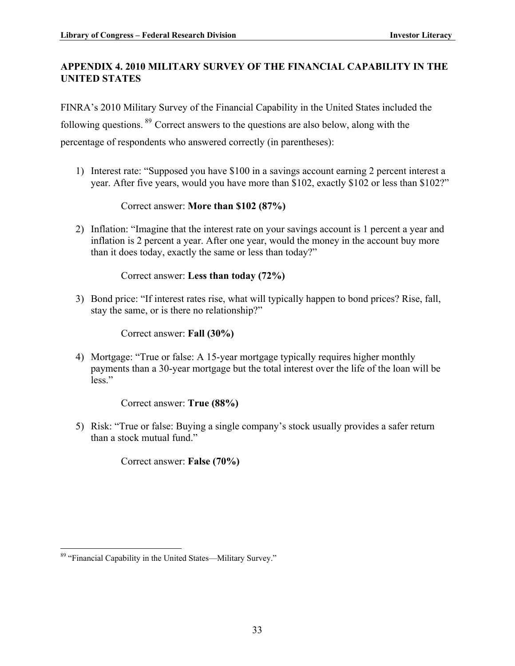#### <span id="page-36-0"></span>**APPENDIX 4. 2010 MILITARY SURVEY OF THE FINANCIAL CAPABILITY IN THE UNITED STATES**

FINRA's 2010 Military Survey of the Financial Capability in the United States included the following questions. [89](#page-36-1) Correct answers to the questions are also below, along with the

percentage of respondents who answered correctly (in parentheses):

1) Interest rate: "Supposed you have \$100 in a savings account earning 2 percent interest a year. After five years, would you have more than \$102, exactly \$102 or less than \$102?"

#### Correct answer: **More than \$102 (87%)**

2) Inflation: "Imagine that the interest rate on your savings account is 1 percent a year and inflation is 2 percent a year. After one year, would the money in the account buy more than it does today, exactly the same or less than today?"

#### Correct answer: **Less than today (72%)**

3) Bond price: "If interest rates rise, what will typically happen to bond prices? Rise, fall, stay the same, or is there no relationship?"

Correct answer: **Fall (30%)**

4) Mortgage: "True or false: A 15-year mortgage typically requires higher monthly payments than a 30-year mortgage but the total interest over the life of the loan will be less."

Correct answer: **True (88%)**

5) Risk: "True or false: Buying a single company's stock usually provides a safer return than a stock mutual fund."

Correct answer: **False (70%)** 

<span id="page-36-1"></span><sup>1</sup> <sup>89</sup> "Financial Capability in the United States—Military Survey."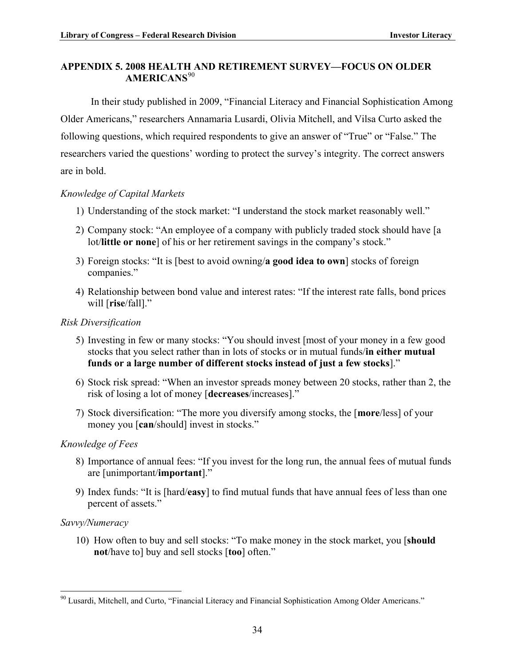#### <span id="page-37-0"></span>**APPENDIX 5. 2008 HEALTH AND RETIREMENT SURVEY—FOCUS ON OLDER AMERICANS**[90](#page-37-1)

In their study published in 2009, "Financial Literacy and Financial Sophistication Among Older Americans," researchers Annamaria Lusardi, Olivia Mitchell, and Vilsa Curto asked the following questions, which required respondents to give an answer of "True" or "False." The researchers varied the questions' wording to protect the survey's integrity. The correct answers are in bold.

#### *Knowledge of Capital Markets*

- 1) Understanding of the stock market: "I understand the stock market reasonably well."
- 2) Company stock: "An employee of a company with publicly traded stock should have [a lot/**little or none**] of his or her retirement savings in the company's stock."
- 3) Foreign stocks: "It is [best to avoid owning/**a good idea to own**] stocks of foreign companies."
- 4) Relationship between bond value and interest rates: "If the interest rate falls, bond prices will [**rise**/fall]."

#### *Risk Diversification*

- 5) Investing in few or many stocks: "You should invest [most of your money in a few good stocks that you select rather than in lots of stocks or in mutual funds/**in either mutual funds or a large number of different stocks instead of just a few stocks**]."
- 6) Stock risk spread: "When an investor spreads money between 20 stocks, rather than 2, the risk of losing a lot of money [**decreases**/increases]."
- 7) Stock diversification: "The more you diversify among stocks, the [**more**/less] of your money you [**can**/should] invest in stocks."

#### *Knowledge of Fees*

- 8) Importance of annual fees: "If you invest for the long run, the annual fees of mutual funds are [unimportant/**important**]."
- 9) Index funds: "It is [hard/**easy**] to find mutual funds that have annual fees of less than one percent of assets."

#### *Savvy/Numeracy*

<u>.</u>

10) How often to buy and sell stocks: "To make money in the stock market, you [**should not**/have to] buy and sell stocks [**too**] often."

<span id="page-37-1"></span><sup>90</sup> Lusardi, Mitchell, and Curto, "Financial Literacy and Financial Sophistication Among Older Americans."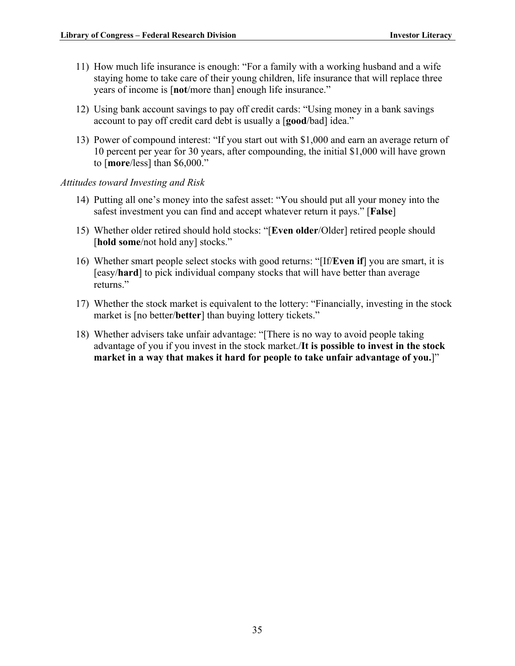- 11) How much life insurance is enough: "For a family with a working husband and a wife staying home to take care of their young children, life insurance that will replace three years of income is [**not**/more than] enough life insurance."
- 12) Using bank account savings to pay off credit cards: "Using money in a bank savings account to pay off credit card debt is usually a [**good**/bad] idea."
- 13) Power of compound interest: "If you start out with \$1,000 and earn an average return of 10 percent per year for 30 years, after compounding, the initial \$1,000 will have grown to [**more**/less] than \$6,000."
- *Attitudes toward Investing and Risk*
	- 14) Putting all one's money into the safest asset: "You should put all your money into the safest investment you can find and accept whatever return it pays." [**False**]
	- 15) Whether older retired should hold stocks: "[**Even older**/Older] retired people should [hold some/not hold any] stocks."
	- 16) Whether smart people select stocks with good returns: "[If/**Even if**] you are smart, it is [easy/**hard**] to pick individual company stocks that will have better than average returns."
	- 17) Whether the stock market is equivalent to the lottery: "Financially, investing in the stock market is [no better/**better**] than buying lottery tickets."
	- 18) Whether advisers take unfair advantage: "[There is no way to avoid people taking advantage of you if you invest in the stock market./**It is possible to invest in the stock market in a way that makes it hard for people to take unfair advantage of you.**]"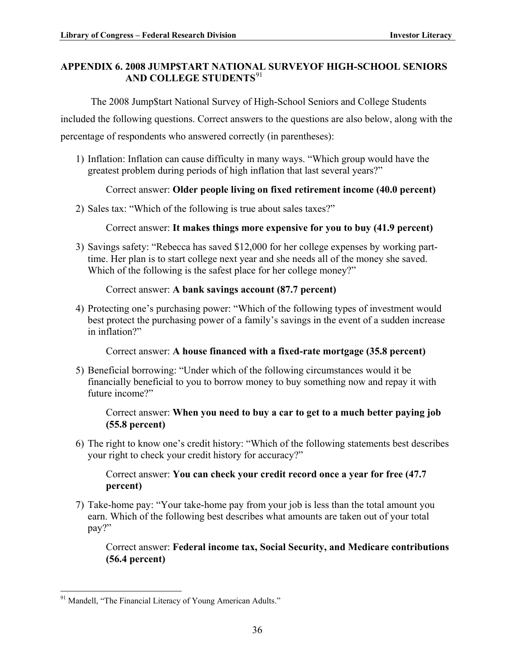#### <span id="page-39-0"></span>**APPENDIX 6. 2008 JUMP\$TART NATIONAL SURVEYOF HIGH-SCHOOL SENIORS AND COLLEGE STUDENTS**[91](#page-39-1)

The 2008 Jump\$tart National Survey of High-School Seniors and College Students

included the following questions. Correct answers to the questions are also below, along with the

percentage of respondents who answered correctly (in parentheses):

1) Inflation: Inflation can cause difficulty in many ways. "Which group would have the greatest problem during periods of high inflation that last several years?"

### Correct answer: **Older people living on fixed retirement income (40.0 percent)**

2) Sales tax: "Which of the following is true about sales taxes?"

Correct answer: **It makes things more expensive for you to buy (41.9 percent)** 

3) Savings safety: "Rebecca has saved \$12,000 for her college expenses by working parttime. Her plan is to start college next year and she needs all of the money she saved. Which of the following is the safest place for her college money?"

#### Correct answer: **A bank savings account (87.7 percent)**

4) Protecting one's purchasing power: "Which of the following types of investment would best protect the purchasing power of a family's savings in the event of a sudden increase in inflation?"

Correct answer: **A house financed with a fixed-rate mortgage (35.8 percent)**

5) Beneficial borrowing: "Under which of the following circumstances would it be financially beneficial to you to borrow money to buy something now and repay it with future income?"

#### Correct answer: **When you need to buy a car to get to a much better paying job (55.8 percent)**

6) The right to know one's credit history: "Which of the following statements best describes your right to check your credit history for accuracy?"

Correct answer: **You can check your credit record once a year for free (47.7 percent)**

7) Take-home pay: "Your take-home pay from your job is less than the total amount you earn. Which of the following best describes what amounts are taken out of your total pay?"

Correct answer: **Federal income tax, Social Security, and Medicare contributions (56.4 percent)**

<span id="page-39-1"></span><sup>&</sup>lt;u>.</u> <sup>91</sup> Mandell, "The Financial Literacy of Young American Adults."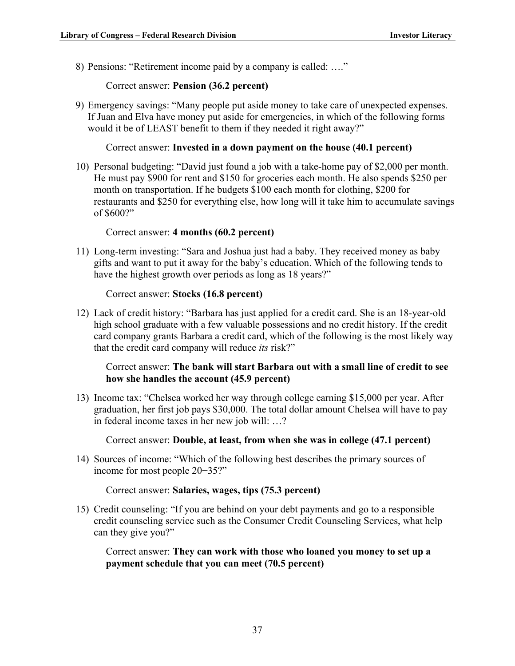8) Pensions: "Retirement income paid by a company is called: …."

Correct answer: **Pension (36.2 percent)**

9) Emergency savings: "Many people put aside money to take care of unexpected expenses. If Juan and Elva have money put aside for emergencies, in which of the following forms would it be of LEAST benefit to them if they needed it right away?"

Correct answer: **Invested in a down payment on the house (40.1 percent)**

10) Personal budgeting: "David just found a job with a take-home pay of \$2,000 per month. He must pay \$900 for rent and \$150 for groceries each month. He also spends \$250 per month on transportation. If he budgets \$100 each month for clothing, \$200 for restaurants and \$250 for everything else, how long will it take him to accumulate savings of \$600?"

Correct answer: **4 months (60.2 percent)**

11) Long-term investing: "Sara and Joshua just had a baby. They received money as baby gifts and want to put it away for the baby's education. Which of the following tends to have the highest growth over periods as long as 18 years?"

Correct answer: **Stocks (16.8 percent)**

12) Lack of credit history: "Barbara has just applied for a credit card. She is an 18-year-old high school graduate with a few valuable possessions and no credit history. If the credit card company grants Barbara a credit card, which of the following is the most likely way that the credit card company will reduce *its* risk?"

#### Correct answer: **The bank will start Barbara out with a small line of credit to see how she handles the account (45.9 percent)**

13) Income tax: "Chelsea worked her way through college earning \$15,000 per year. After graduation, her first job pays \$30,000. The total dollar amount Chelsea will have to pay in federal income taxes in her new job will: …?

Correct answer: **Double, at least, from when she was in college (47.1 percent)**

14) Sources of income: "Which of the following best describes the primary sources of income for most people  $20-35$ ?"

Correct answer: **Salaries, wages, tips (75.3 percent)**

15) Credit counseling: "If you are behind on your debt payments and go to a responsible credit counseling service such as the Consumer Credit Counseling Services, what help can they give you?"

Correct answer: **They can work with those who loaned you money to set up a payment schedule that you can meet (70.5 percent)**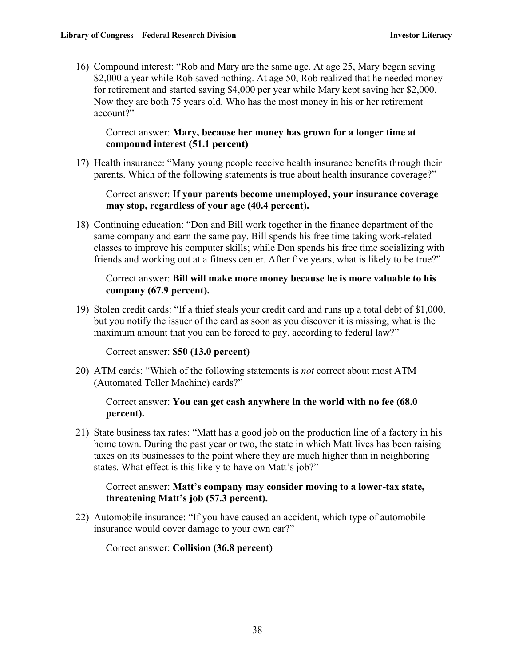16) Compound interest: "Rob and Mary are the same age. At age 25, Mary began saving \$2,000 a year while Rob saved nothing. At age 50, Rob realized that he needed money for retirement and started saving \$4,000 per year while Mary kept saving her \$2,000. Now they are both 75 years old. Who has the most money in his or her retirement account?"

#### Correct answer: **Mary, because her money has grown for a longer time at compound interest (51.1 percent)**

17) Health insurance: "Many young people receive health insurance benefits through their parents. Which of the following statements is true about health insurance coverage?"

#### Correct answer: **If your parents become unemployed, your insurance coverage may stop, regardless of your age (40.4 percent).**

18) Continuing education: "Don and Bill work together in the finance department of the same company and earn the same pay. Bill spends his free time taking work-related classes to improve his computer skills; while Don spends his free time socializing with friends and working out at a fitness center. After five years, what is likely to be true?"

#### Correct answer: **Bill will make more money because he is more valuable to his company (67.9 percent).**

19) Stolen credit cards: "If a thief steals your credit card and runs up a total debt of \$1,000, but you notify the issuer of the card as soon as you discover it is missing, what is the maximum amount that you can be forced to pay, according to federal law?"

Correct answer: **\$50 (13.0 percent)**

20) ATM cards: "Which of the following statements is *not* correct about most ATM (Automated Teller Machine) cards?"

#### Correct answer: **You can get cash anywhere in the world with no fee (68.0 percent).**

21) State business tax rates: "Matt has a good job on the production line of a factory in his home town. During the past year or two, the state in which Matt lives has been raising taxes on its businesses to the point where they are much higher than in neighboring states. What effect is this likely to have on Matt's job?"

#### Correct answer: **Matt's company may consider moving to a lower-tax state, threatening Matt's job (57.3 percent).**

22) Automobile insurance: "If you have caused an accident, which type of automobile insurance would cover damage to your own car?"

Correct answer: **Collision (36.8 percent)**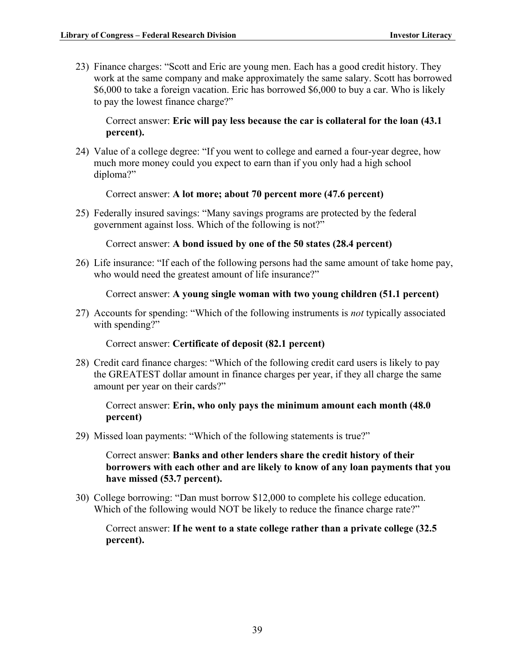23) Finance charges: "Scott and Eric are young men. Each has a good credit history. They work at the same company and make approximately the same salary. Scott has borrowed \$6,000 to take a foreign vacation. Eric has borrowed \$6,000 to buy a car. Who is likely to pay the lowest finance charge?"

Correct answer: **Eric will pay less because the car is collateral for the loan (43.1 percent).**

24) Value of a college degree: "If you went to college and earned a four-year degree, how much more money could you expect to earn than if you only had a high school diploma?"

Correct answer: **A lot more; about 70 percent more (47.6 percent)**

25) Federally insured savings: "Many savings programs are protected by the federal government against loss. Which of the following is not?"

Correct answer: **A bond issued by one of the 50 states (28.4 percent)**

26) Life insurance: "If each of the following persons had the same amount of take home pay, who would need the greatest amount of life insurance?"

Correct answer: **A young single woman with two young children (51.1 percent)**

27) Accounts for spending: "Which of the following instruments is *not* typically associated with spending?"

Correct answer: **Certificate of deposit (82.1 percent)**

28) Credit card finance charges: "Which of the following credit card users is likely to pay the GREATEST dollar amount in finance charges per year, if they all charge the same amount per year on their cards?"

Correct answer: **Erin, who only pays the minimum amount each month (48.0 percent)**

29) Missed loan payments: "Which of the following statements is true?"

Correct answer: **Banks and other lenders share the credit history of their borrowers with each other and are likely to know of any loan payments that you have missed (53.7 percent).**

30) College borrowing: "Dan must borrow \$12,000 to complete his college education. Which of the following would NOT be likely to reduce the finance charge rate?"

Correct answer: **If he went to a state college rather than a private college (32.5 percent).**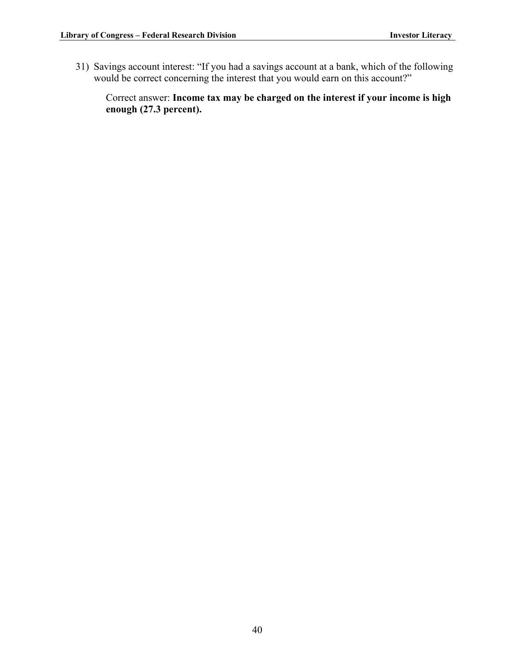31) Savings account interest: "If you had a savings account at a bank, which of the following would be correct concerning the interest that you would earn on this account?"

Correct answer: **Income tax may be charged on the interest if your income is high enough (27.3 percent).**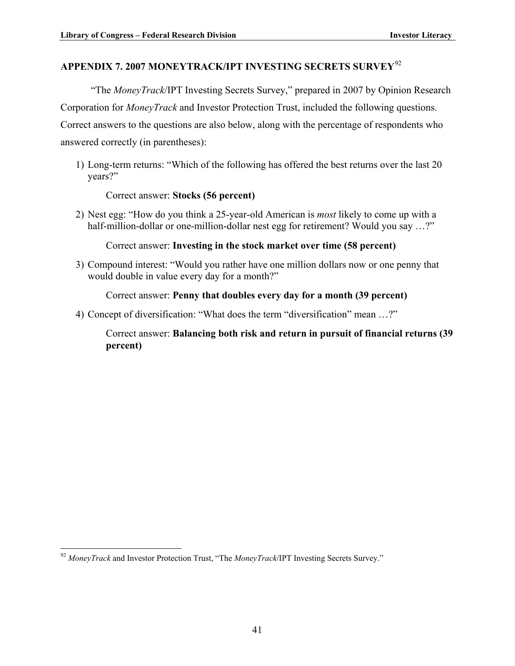# <span id="page-44-0"></span>**APPENDIX 7. 2007 MONEYTRACK/IPT INVESTING SECRETS SURVEY**[92](#page-44-1)

"The *MoneyTrack*/IPT Investing Secrets Survey," prepared in 2007 by Opinion Research Corporation for *MoneyTrack* and Investor Protection Trust, included the following questions. Correct answers to the questions are also below, along with the percentage of respondents who answered correctly (in parentheses):

1) Long-term returns: "Which of the following has offered the best returns over the last 20 years?"

Correct answer: **Stocks (56 percent)**

2) Nest egg: "How do you think a 25-year-old American is *most* likely to come up with a half-million-dollar or one-million-dollar nest egg for retirement? Would you say ...?"

Correct answer: **Investing in the stock market over time (58 percent)**

3) Compound interest: "Would you rather have one million dollars now or one penny that would double in value every day for a month?"

Correct answer: **Penny that doubles every day for a month (39 percent)**

4) Concept of diversification: "What does the term "diversification" mean …?"

Correct answer: **Balancing both risk and return in pursuit of financial returns (39 percent)**

1

<span id="page-44-1"></span><sup>92</sup> *MoneyTrack* and Investor Protection Trust, "The *MoneyTrack*/IPT Investing Secrets Survey."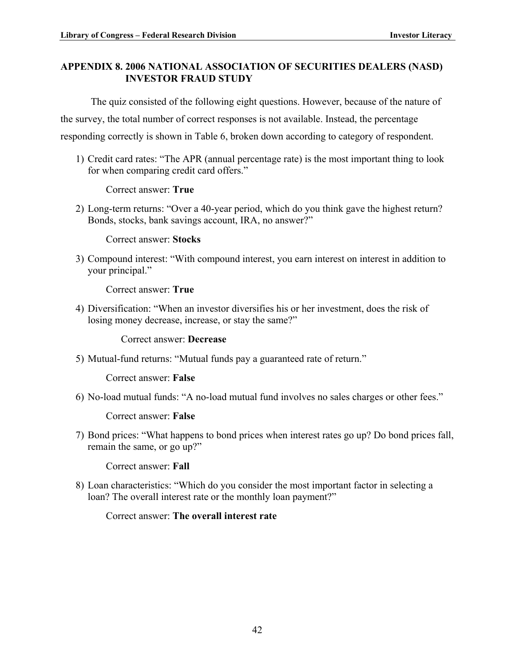#### <span id="page-45-0"></span>**APPENDIX 8. 2006 NATIONAL ASSOCIATION OF SECURITIES DEALERS (NASD) INVESTOR FRAUD STUDY**

The quiz consisted of the following eight questions. However, because of the nature of

the survey, the total number of correct responses is not available. Instead, the percentage

responding correctly is shown in Table 6, broken down according to category of respondent.

1) Credit card rates: "The APR (annual percentage rate) is the most important thing to look for when comparing credit card offers."

Correct answer: **True**

2) Long-term returns: "Over a 40-year period, which do you think gave the highest return? Bonds, stocks, bank savings account, IRA, no answer?"

Correct answer: **Stocks**

3) Compound interest: "With compound interest, you earn interest on interest in addition to your principal."

Correct answer: **True**

4) Diversification: "When an investor diversifies his or her investment, does the risk of losing money decrease, increase, or stay the same?"

#### Correct answer: **Decrease**

5) Mutual-fund returns: "Mutual funds pay a guaranteed rate of return."

Correct answer: **False**

6) No-load mutual funds: "A no-load mutual fund involves no sales charges or other fees."

Correct answer: **False**

7) Bond prices: "What happens to bond prices when interest rates go up? Do bond prices fall, remain the same, or go up?"

Correct answer: **Fall**

8) Loan characteristics: "Which do you consider the most important factor in selecting a loan? The overall interest rate or the monthly loan payment?"

Correct answer: **The overall interest rate**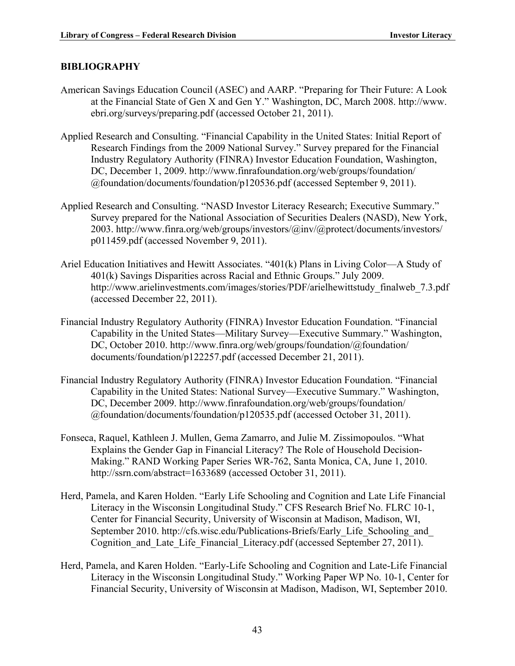#### <span id="page-46-0"></span>**BIBLIOGRAPHY**

- American Savings Education Council (ASEC) and AARP. "Preparing for Their Future: A Look at the Financial State of Gen X and Gen Y." Washington, DC, March 2008. http://www. ebri.org/surveys/preparing.pdf (accessed October 21, 2011).
- Applied Research and Consulting. "Financial Capability in the United States: Initial Report of Research Findings from the 2009 National Survey." Survey prepared for the Financial Industry Regulatory Authority (FINRA) Investor Education Foundation, Washington, DC, December 1, 2009. http://www.finrafoundation.org/web/groups/foundation/ @foundation/documents/foundation/p120536.pdf (accessed September 9, 2011).
- Applied Research and Consulting. "NASD Investor Literacy Research; Executive Summary." Survey prepared for the National Association of Securities Dealers (NASD), New York, 2003. http://www.finra.org/web/groups/investors/@inv/@protect/documents/investors/ p011459.pdf (accessed November 9, 2011).
- Ariel Education Initiatives and Hewitt Associates. "401(k) Plans in Living Color—A Study of 401(k) Savings Disparities across Racial and Ethnic Groups." July 2009. http://www.arielinvestments.com/images/stories/PDF/arielhewittstudy finalweb 7.3.pdf (accessed December 22, 2011).
- Financial Industry Regulatory Authority (FINRA) Investor Education Foundation. "Financial Capability in the United States—Military Survey—Executive Summary." Washington, DC, October 2010. http://www.finra.org/web/groups/foundation/@foundation/ documents/foundation/p122257.pdf (accessed December 21, 2011).
- Financial Industry Regulatory Authority (FINRA) Investor Education Foundation. "Financial Capability in the United States: National Survey—Executive Summary." Washington, DC, December 2009. http://www.finrafoundation.org/web/groups/foundation/ @foundation/documents/foundation/p120535.pdf (accessed October 31, 2011).
- Fonseca, Raquel, Kathleen J. Mullen, Gema Zamarro, and Julie M. Zissimopoulos. "What Explains the Gender Gap in Financial Literacy? The Role of Household Decision-Making." RAND Working Paper Series WR-762, Santa Monica, CA, June 1, 2010. http://ssrn.com/abstract=1633689 (accessed October 31, 2011).
- Herd, Pamela, and Karen Holden. "Early Life Schooling and Cognition and Late Life Financial Literacy in the Wisconsin Longitudinal Study." CFS Research Brief No. FLRC 10-1, Center for Financial Security, University of Wisconsin at Madison, Madison, WI, September 2010. http://cfs.wisc.edu/Publications-Briefs/Early\_Life\_Schooling\_and Cognition and Late Life Financial Literacy.pdf (accessed September 27, 2011).
- Herd, Pamela, and Karen Holden. "Early-Life Schooling and Cognition and Late-Life Financial Literacy in the Wisconsin Longitudinal Study." Working Paper WP No. 10-1, Center for Financial Security, University of Wisconsin at Madison, Madison, WI, September 2010.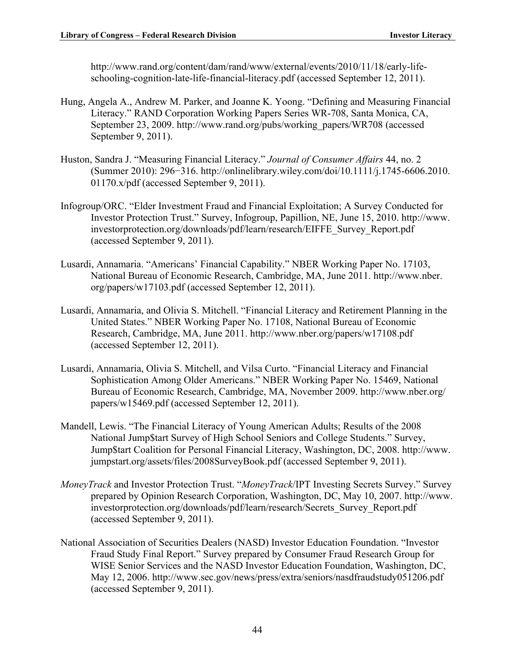http://www.rand.org/content/dam/rand/www/external/events/2010/11/18/early-lifeschooling-cognition-late-life-financial-literacy.pdf (accessed September 12, 2011).

- Hung, Angela A., Andrew M. Parker, and Joanne K. Yoong. "Defining and Measuring Financial Literacy." RAND Corporation Working Papers Series WR-708, Santa Monica, CA, September 23, 2009. http://www.rand.org/pubs/working\_papers/WR708 (accessed September 9, 2011).
- Huston, Sandra J. "Measuring Financial Literacy." *Journal of Consumer Affairs* 44, no. 2 (Summer 2010): 296-316. http://onlinelibrary.wiley.com/doi/10.1111/j.1745-6606.2010. 01170.x/pdf (accessed September 9, 2011).
- Infogroup/ORC. "Elder Investment Fraud and Financial Exploitation; A Survey Conducted for Investor Protection Trust." Survey, Infogroup, Papillion, NE, June 15, 2010. http://www. investorprotection.org/downloads/pdf/learn/research/EIFFE\_Survey\_Report.pdf (accessed September 9, 2011).
- Lusardi, Annamaria. "Americans' Financial Capability." NBER Working Paper No. 17103, National Bureau of Economic Research, Cambridge, MA, June 2011. http://www.nber. org/papers/w17103.pdf (accessed September 12, 2011).
- Lusardi, Annamaria, and Olivia S. Mitchell. "Financial Literacy and Retirement Planning in the United States." NBER Working Paper No. 17108, National Bureau of Economic Research, Cambridge, MA, June 2011. http://www.nber.org/papers/w17108.pdf (accessed September 12, 2011).
- Lusardi, Annamaria, Olivia S. Mitchell, and Vilsa Curto. "Financial Literacy and Financial Sophistication Among Older Americans." NBER Working Paper No. 15469, National Bureau of Economic Research, Cambridge, MA, November 2009. http://www.nber.org/ papers/w15469.pdf (accessed September 12, 2011).
- Mandell, Lewis. "The Financial Literacy of Young American Adults; Results of the 2008 National Jump\$tart Survey of High School Seniors and College Students." Survey, Jump\$tart Coalition for Personal Financial Literacy, Washington, DC, 2008. http://www. jumpstart.org/assets/files/2008SurveyBook.pdf (accessed September 9, 2011).
- *MoneyTrack* and Investor Protection Trust. "*MoneyTrack*/IPT Investing Secrets Survey." Survey prepared by Opinion Research Corporation, Washington, DC, May 10, 2007. http://www. investorprotection.org/downloads/pdf/learn/research/Secrets\_Survey\_Report.pdf (accessed September 9, 2011).
- National Association of Securities Dealers (NASD) Investor Education Foundation. "Investor Fraud Study Final Report." Survey prepared by Consumer Fraud Research Group for WISE Senior Services and the NASD Investor Education Foundation, Washington, DC, May 12, 2006. http://www.sec.gov/news/press/extra/seniors/nasdfraudstudy051206.pdf (accessed September 9, 2011).